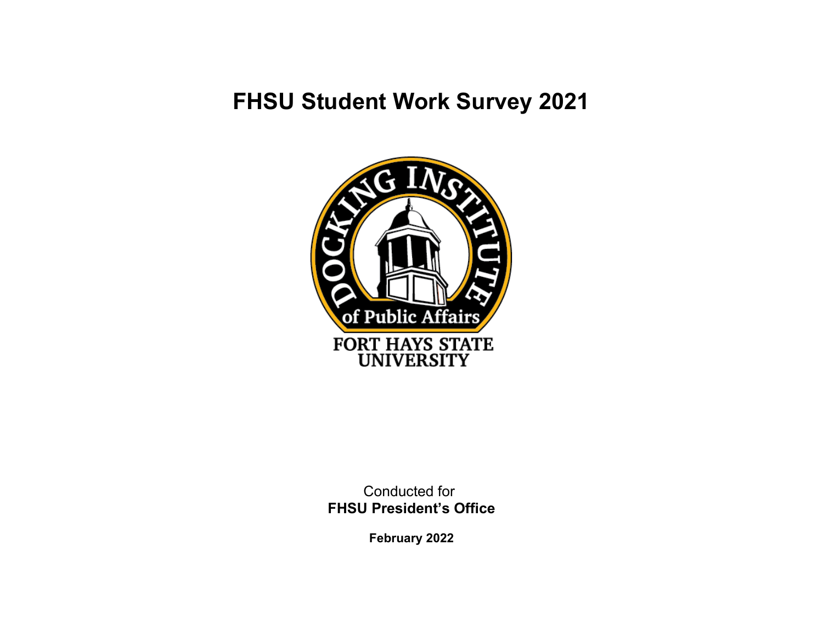# **FHSU Student Work Survey 2021**



Conducted for **FHSU President's Office**

**February 2022**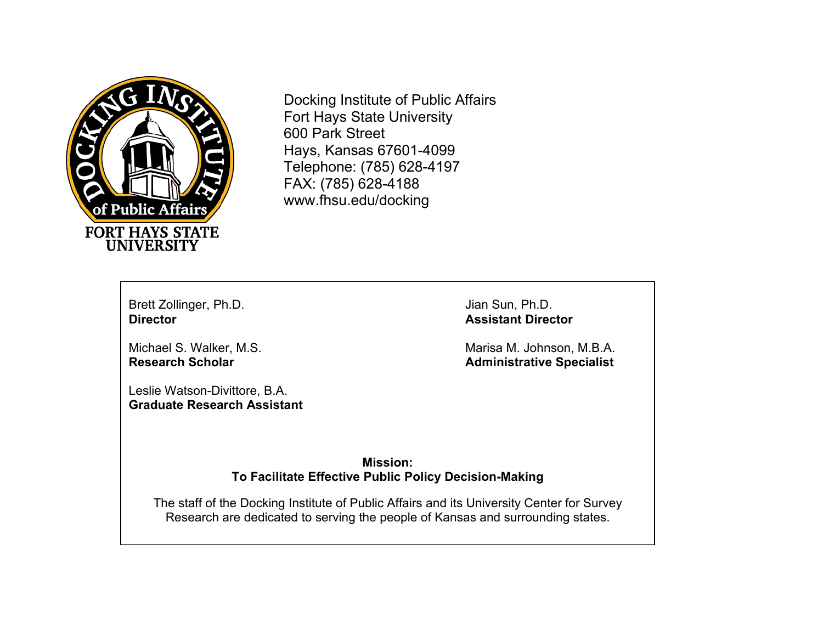

Docking Institute of Public Affairs Fort Hays State University 600 Park Street Hays, Kansas 67601-4099 Telephone: (785) 628-4197 FAX: (785) 628-4188 www.fhsu.edu/docking

Brett Zollinger, Ph.D. Jian Sun, Ph.D. Jian Sun, Ph.D. Jian Sun, Ph.D.

Leslie Watson-Divittore, B.A. **Graduate Research Assistant** **Assistant Director** 

Michael S. Walker, M.S. Marisa M. Johnson, M.B.A. **Research Scholar Administrative Specialist Administrative Specialist** 

> **Mission: To Facilitate Effective Public Policy Decision-Making**

The staff of the Docking Institute of Public Affairs and its University Center for Survey Research are dedicated to serving the people of Kansas and surrounding states.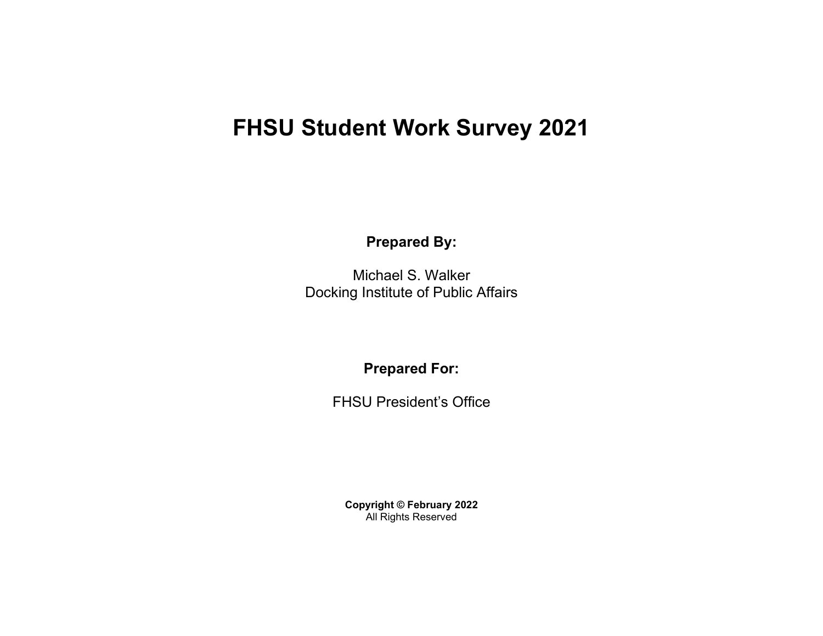# **FHSU Student Work Survey 2021**

**Prepared By:**

Michael S. Walker Docking Institute of Public Affairs

**Prepared For:** 

FHSU President's Office

**Copyright © February 2022** All Rights Reserved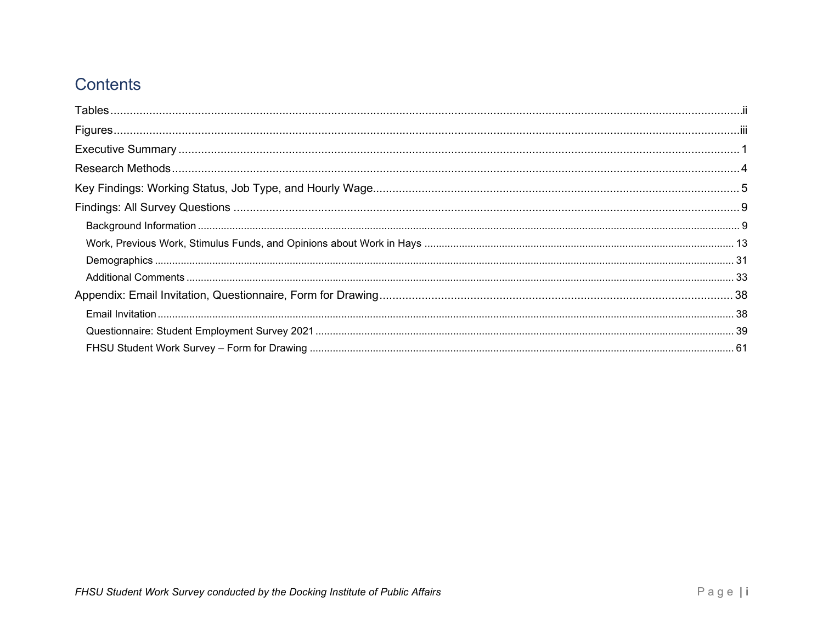## Contents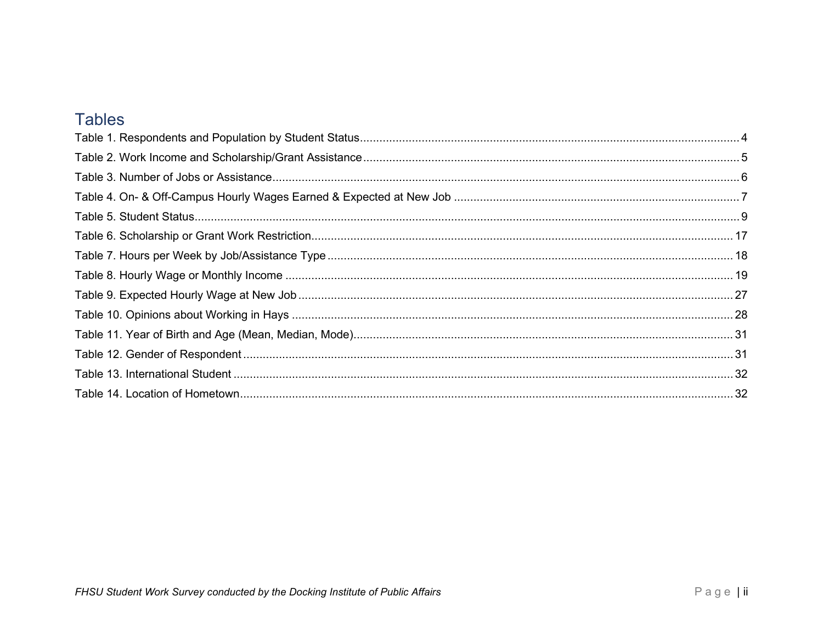## <span id="page-4-0"></span>**Tables**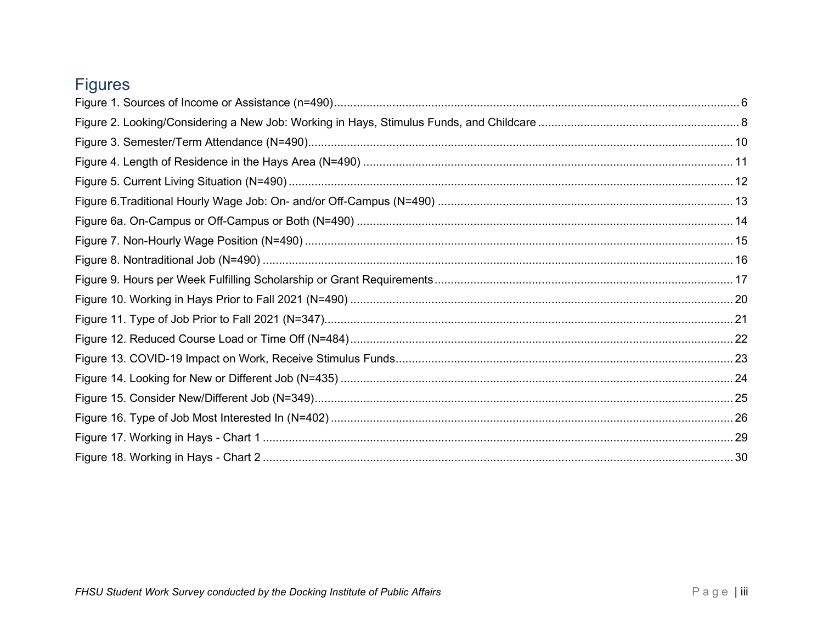## <span id="page-5-0"></span>**Figures**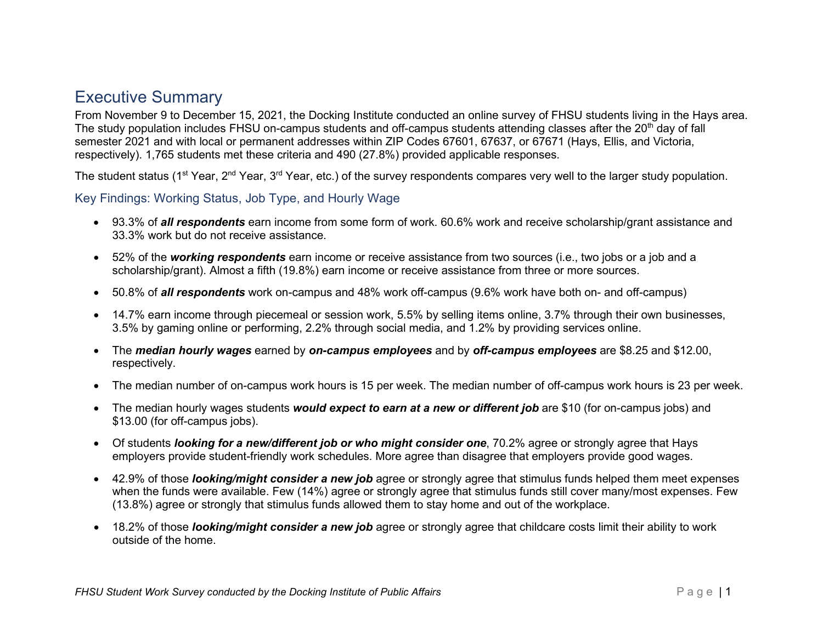## <span id="page-6-0"></span>Executive Summary

From November 9 to December 15, 2021, the Docking Institute conducted an online survey of FHSU students living in the Hays area. The study population includes FHSU on-campus students and off-campus students attending classes after the 20<sup>th</sup> day of fall semester 2021 and with local or permanent addresses within ZIP Codes 67601, 67637, or 67671 (Hays, Ellis, and Victoria, respectively). 1,765 students met these criteria and 490 (27.8%) provided applicable responses.

The student status (1<sup>st</sup> Year, 2<sup>nd</sup> Year, 3<sup>rd</sup> Year, etc.) of the survey respondents compares very well to the larger study population.

Key Findings: Working Status, Job Type, and Hourly Wage

- 93.3% of *all respondents* earn income from some form of work. 60.6% work and receive scholarship/grant assistance and 33.3% work but do not receive assistance.
- 52% of the *working respondents* earn income or receive assistance from two sources (i.e., two jobs or a job and a scholarship/grant). Almost a fifth (19.8%) earn income or receive assistance from three or more sources.
- 50.8% of *all respondents* work on-campus and 48% work off-campus (9.6% work have both on- and off-campus)
- 14.7% earn income through piecemeal or session work, 5.5% by selling items online, 3.7% through their own businesses, 3.5% by gaming online or performing, 2.2% through social media, and 1.2% by providing services online.
- The *median hourly wages* earned by *on-campus employees* and by *off-campus employees* are \$8.25 and \$12.00, respectively.
- The median number of on-campus work hours is 15 per week. The median number of off-campus work hours is 23 per week.
- The median hourly wages students *would expect to earn at a new or different job* are \$10 (for on-campus jobs) and \$13.00 (for off-campus jobs).
- Of students *looking for a new/different job or who might consider one*, 70.2% agree or strongly agree that Hays employers provide student-friendly work schedules. More agree than disagree that employers provide good wages.
- 42.9% of those *looking/might consider a new job* agree or strongly agree that stimulus funds helped them meet expenses when the funds were available. Few (14%) agree or strongly agree that stimulus funds still cover many/most expenses. Few (13.8%) agree or strongly that stimulus funds allowed them to stay home and out of the workplace.
- 18.2% of those *looking/might consider a new job* agree or strongly agree that childcare costs limit their ability to work outside of the home.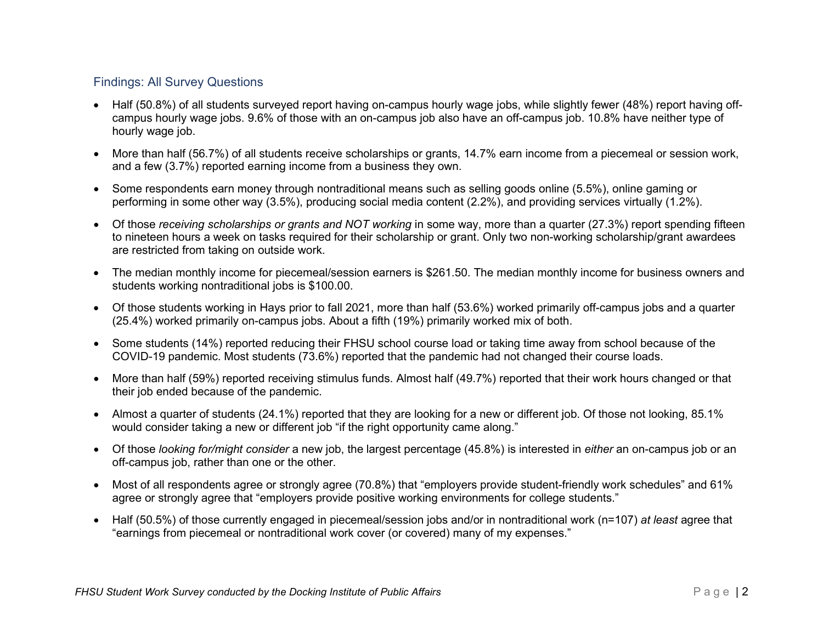### Findings: All Survey Questions

- Half (50.8%) of all students surveyed report having on-campus hourly wage jobs, while slightly fewer (48%) report having offcampus hourly wage jobs. 9.6% of those with an on-campus job also have an off-campus job. 10.8% have neither type of hourly wage job.
- More than half (56.7%) of all students receive scholarships or grants, 14.7% earn income from a piecemeal or session work, and a few (3.7%) reported earning income from a business they own.
- Some respondents earn money through nontraditional means such as selling goods online (5.5%), online gaming or performing in some other way (3.5%), producing social media content (2.2%), and providing services virtually (1.2%).
- Of those *receiving scholarships or grants and NOT working* in some way, more than a quarter (27.3%) report spending fifteen to nineteen hours a week on tasks required for their scholarship or grant. Only two non-working scholarship/grant awardees are restricted from taking on outside work.
- The median monthly income for piecemeal/session earners is \$261.50. The median monthly income for business owners and students working nontraditional jobs is \$100.00.
- Of those students working in Hays prior to fall 2021, more than half (53.6%) worked primarily off-campus jobs and a quarter (25.4%) worked primarily on-campus jobs. About a fifth (19%) primarily worked mix of both.
- Some students (14%) reported reducing their FHSU school course load or taking time away from school because of the COVID-19 pandemic. Most students (73.6%) reported that the pandemic had not changed their course loads.
- More than half (59%) reported receiving stimulus funds. Almost half (49.7%) reported that their work hours changed or that their job ended because of the pandemic.
- Almost a quarter of students (24.1%) reported that they are looking for a new or different job. Of those not looking, 85.1% would consider taking a new or different job "if the right opportunity came along."
- Of those *looking for/might consider* a new job, the largest percentage (45.8%) is interested in *either* an on-campus job or an off-campus job, rather than one or the other.
- Most of all respondents agree or strongly agree (70.8%) that "employers provide student-friendly work schedules" and 61% agree or strongly agree that "employers provide positive working environments for college students."
- Half (50.5%) of those currently engaged in piecemeal/session jobs and/or in nontraditional work (n=107) *at least* agree that "earnings from piecemeal or nontraditional work cover (or covered) many of my expenses."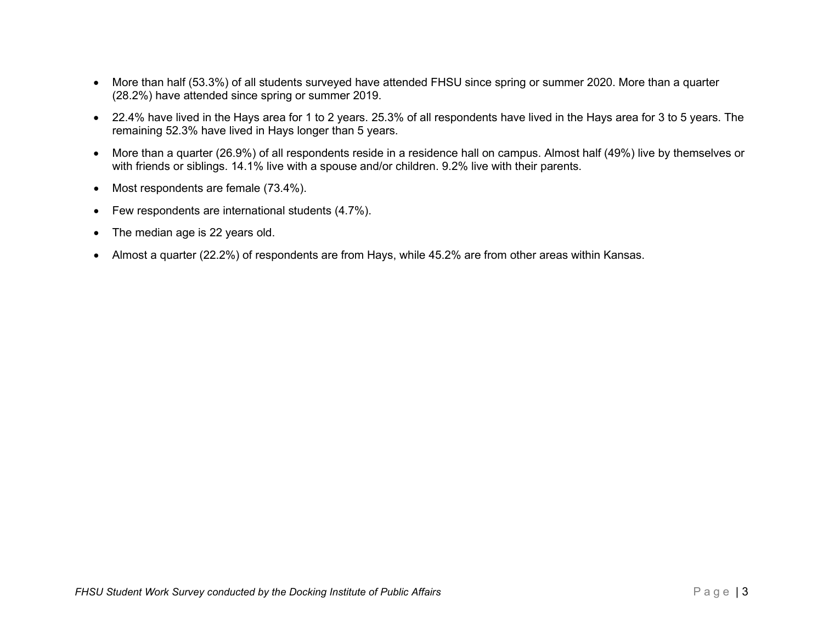- More than half (53.3%) of all students surveyed have attended FHSU since spring or summer 2020. More than a quarter (28.2%) have attended since spring or summer 2019.
- 22.4% have lived in the Hays area for 1 to 2 years. 25.3% of all respondents have lived in the Hays area for 3 to 5 years. The remaining 52.3% have lived in Hays longer than 5 years.
- More than a quarter (26.9%) of all respondents reside in a residence hall on campus. Almost half (49%) live by themselves or with friends or siblings. 14.1% live with a spouse and/or children. 9.2% live with their parents.
- Most respondents are female (73.4%).
- Few respondents are international students (4.7%).
- The median age is 22 years old.
- Almost a quarter (22.2%) of respondents are from Hays, while 45.2% are from other areas within Kansas.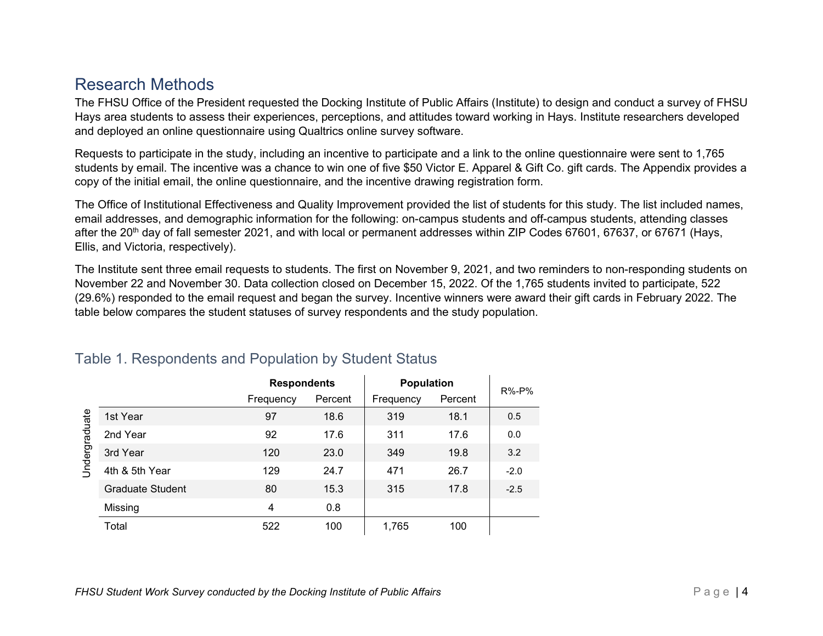## <span id="page-9-0"></span>Research Methods

The FHSU Office of the President requested the Docking Institute of Public Affairs (Institute) to design and conduct a survey of FHSU Hays area students to assess their experiences, perceptions, and attitudes toward working in Hays. Institute researchers developed and deployed an online questionnaire using Qualtrics online survey software.

Requests to participate in the study, including an incentive to participate and a link to the online questionnaire were sent to 1,765 students by email. The incentive was a chance to win one of five \$50 Victor E. Apparel & Gift Co. gift cards. The Appendix provides a copy of the initial email, the online questionnaire, and the incentive drawing registration form.

The Office of Institutional Effectiveness and Quality Improvement provided the list of students for this study. The list included names, email addresses, and demographic information for the following: on-campus students and off-campus students, attending classes after the 20<sup>th</sup> day of fall semester 2021, and with local or permanent addresses within ZIP Codes 67601, 67637, or 67671 (Hays, Ellis, and Victoria, respectively).

The Institute sent three email requests to students. The first on November 9, 2021, and two reminders to non-responding students on November 22 and November 30. Data collection closed on December 15, 2022. Of the 1,765 students invited to participate, 522 (29.6%) responded to the email request and began the survey. Incentive winners were award their gift cards in February 2022. The table below compares the student statuses of survey respondents and the study population.

|               |                  | <b>Respondents</b> |         | <b>Population</b> | $R\%$ - $P\%$ |        |
|---------------|------------------|--------------------|---------|-------------------|---------------|--------|
|               |                  | Frequency          | Percent | Frequency         | Percent       |        |
|               | 1st Year         | 97                 | 18.6    | 319               | 18.1          | 0.5    |
|               | 2nd Year         | 92                 | 17.6    | 311               | 17.6          | 0.0    |
| Jndergraduate | 3rd Year         | 120                | 23.0    | 349               | 19.8          | 3.2    |
|               | 4th & 5th Year   | 129                | 24.7    | 471               | 26.7          | $-2.0$ |
|               | Graduate Student | 80                 | 15.3    | 315               | 17.8          | $-2.5$ |
|               | Missing          | 4                  | 0.8     |                   |               |        |
|               | Total            | 522                | 100     | 1,765             | 100           |        |

## <span id="page-9-1"></span>Table 1. Respondents and Population by Student Status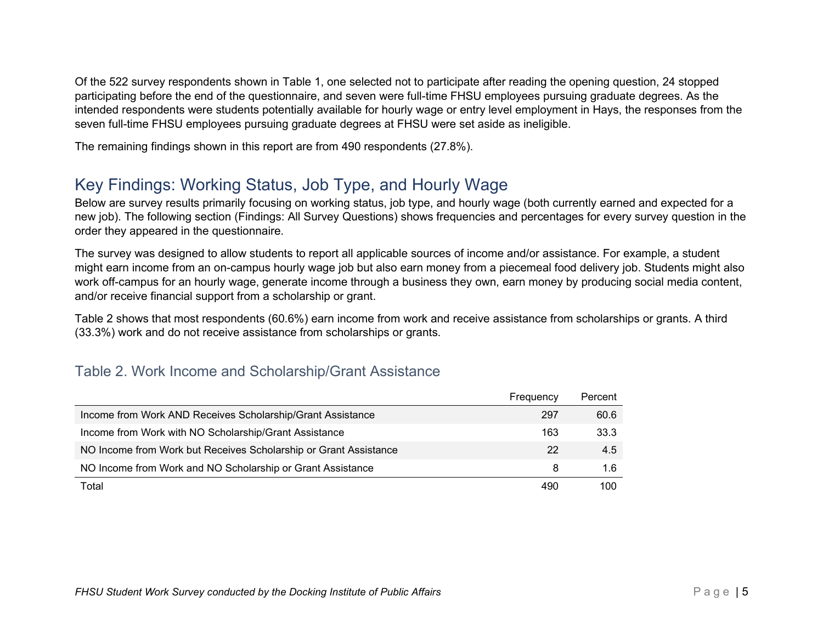Of the 522 survey respondents shown in Table 1, one selected not to participate after reading the opening question, 24 stopped participating before the end of the questionnaire, and seven were full-time FHSU employees pursuing graduate degrees. As the intended respondents were students potentially available for hourly wage or entry level employment in Hays, the responses from the seven full-time FHSU employees pursuing graduate degrees at FHSU were set aside as ineligible.

<span id="page-10-0"></span>The remaining findings shown in this report are from 490 respondents (27.8%).

## Key Findings: Working Status, Job Type, and Hourly Wage

Below are survey results primarily focusing on working status, job type, and hourly wage (both currently earned and expected for a new job). The following section (Findings: All Survey Questions) shows frequencies and percentages for every survey question in the order they appeared in the questionnaire.

The survey was designed to allow students to report all applicable sources of income and/or assistance. For example, a student might earn income from an on-campus hourly wage job but also earn money from a piecemeal food delivery job. Students might also work off-campus for an hourly wage, generate income through a business they own, earn money by producing social media content, and/or receive financial support from a scholarship or grant.

Table 2 shows that most respondents (60.6%) earn income from work and receive assistance from scholarships or grants. A third (33.3%) work and do not receive assistance from scholarships or grants.

## <span id="page-10-1"></span>Table 2. Work Income and Scholarship/Grant Assistance

|                                                                  | Frequency | Percent |
|------------------------------------------------------------------|-----------|---------|
| Income from Work AND Receives Scholarship/Grant Assistance       | 297       | 60.6    |
| Income from Work with NO Scholarship/Grant Assistance            | 163       | 33.3    |
| NO Income from Work but Receives Scholarship or Grant Assistance | 22        | 4.5     |
| NO Income from Work and NO Scholarship or Grant Assistance       | 8         | 1.6     |
| Total                                                            | 490       | 100     |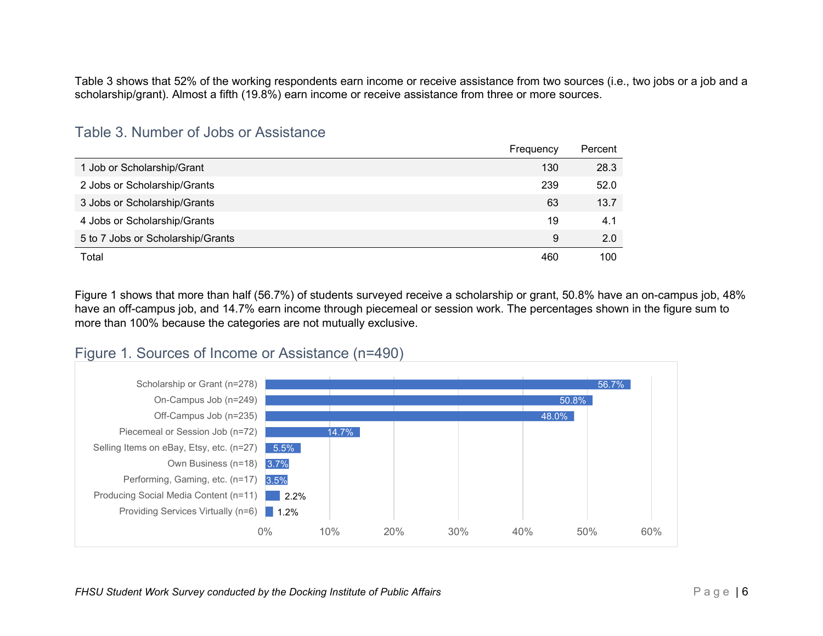Table 3 shows that 52% of the working respondents earn income or receive assistance from two sources (i.e., two jobs or a job and a scholarship/grant). Almost a fifth (19.8%) earn income or receive assistance from three or more sources.

### <span id="page-11-0"></span>Table 3. Number of Jobs or Assistance

|                                   | Frequency | Percent |
|-----------------------------------|-----------|---------|
| 1 Job or Scholarship/Grant        | 130       | 28.3    |
| 2 Jobs or Scholarship/Grants      | 239       | 52.0    |
| 3 Jobs or Scholarship/Grants      | 63        | 13.7    |
| 4 Jobs or Scholarship/Grants      | 19        | 4.1     |
| 5 to 7 Jobs or Scholarship/Grants | 9         | 2.0     |
| Total                             | 460       | 100     |

Figure 1 shows that more than half (56.7%) of students surveyed receive a scholarship or grant, 50.8% have an on-campus job, 48% have an off-campus job, and 14.7% earn income through piecemeal or session work. The percentages shown in the figure sum to more than 100% because the categories are not mutually exclusive.



## <span id="page-11-1"></span>Figure 1. Sources of Income or Assistance (n=490)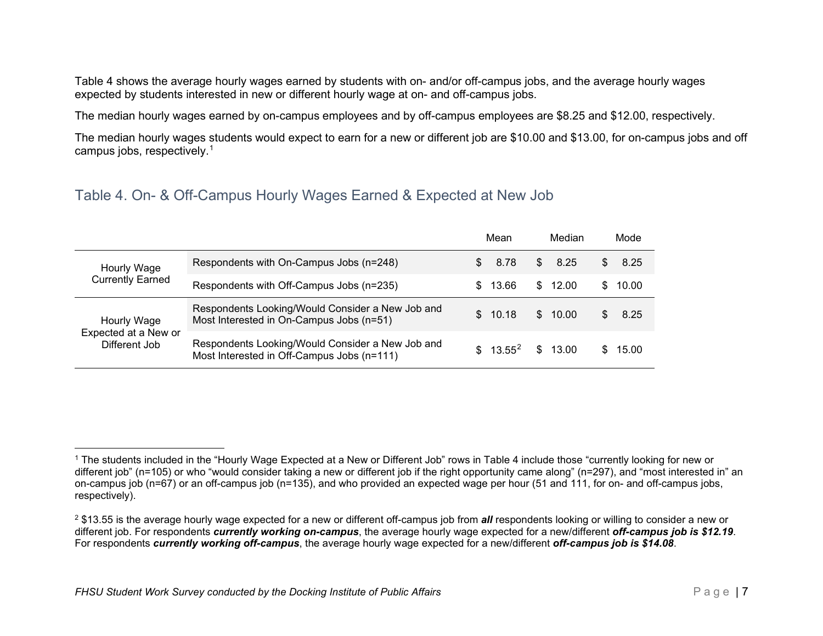<span id="page-12-2"></span><span id="page-12-1"></span>Table 4 shows the average hourly wages earned by students with on- and/or off-campus jobs, and the average hourly wages expected by students interested in new or different hourly wage at on- and off-campus jobs.

The median hourly wages earned by on-campus employees and by off-campus employees are \$8.25 and \$12.00, respectively.

The median hourly wages students would expect to earn for a new or different job are \$10.00 and \$13.00, for on-campus jobs and off campus jobs, respectively. $^{\rm 1}$  $^{\rm 1}$  $^{\rm 1}$ 

## <span id="page-12-0"></span>Table 4. On- & Off-Campus Hourly Wages Earned & Expected at New Job

|                                                      |                                                                                                |              | Mean       | Median  |     | Mode  |
|------------------------------------------------------|------------------------------------------------------------------------------------------------|--------------|------------|---------|-----|-------|
| Hourly Wage<br><b>Currently Earned</b>               | Respondents with On-Campus Jobs (n=248)                                                        | SS.          | 8.78       | \$8.25  | S.  | 8.25  |
|                                                      | Respondents with Off-Campus Jobs (n=235)                                                       | SS.          | 13.66      | \$12.00 | SS. | 10.00 |
| Hourly Wage<br>Expected at a New or<br>Different Job | Respondents Looking/Would Consider a New Job and<br>Most Interested in On-Campus Jobs (n=51)   | $\mathbf{s}$ | 10.18      | \$10.00 |     | 8.25  |
|                                                      | Respondents Looking/Would Consider a New Job and<br>Most Interested in Off-Campus Jobs (n=111) |              | $$13.55^2$ | \$13.00 |     | 15.00 |

<sup>1</sup> The students included in the "Hourly Wage Expected at a New or Different Job" rows in Table 4 include those "currently looking for new or different job" (n=105) or who "would consider taking a new or different job if the right opportunity came along" (n=297), and "most interested in" an on-campus job (n=67) or an off-campus job (n=135), and who provided an expected wage per hour (51 and 111, for on- and off-campus jobs, respectively).

<sup>2</sup> \$13.55 is the average hourly wage expected for a new or different off-campus job from *all* respondents looking or willing to consider a new or different job. For respondents *currently working on-campus*, the average hourly wage expected for a new/different *off-campus job is \$12.19*. For respondents *currently working off-campus*, the average hourly wage expected for a new/different *off-campus job is \$14.08*.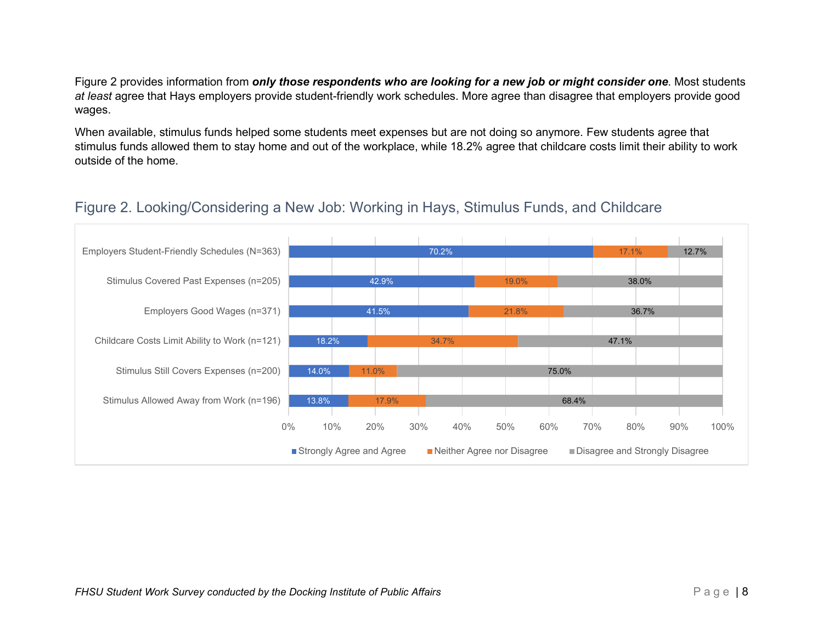Figure 2 provides information from *only those respondents who are looking for a new job or might consider one*. Most students *at least* agree that Hays employers provide student-friendly work schedules. More agree than disagree that employers provide good wages.

When available, stimulus funds helped some students meet expenses but are not doing so anymore. Few students agree that stimulus funds allowed them to stay home and out of the workplace, while 18.2% agree that childcare costs limit their ability to work outside of the home.

## <span id="page-13-0"></span>Figure 2. Looking/Considering a New Job: Working in Hays, Stimulus Funds, and Childcare

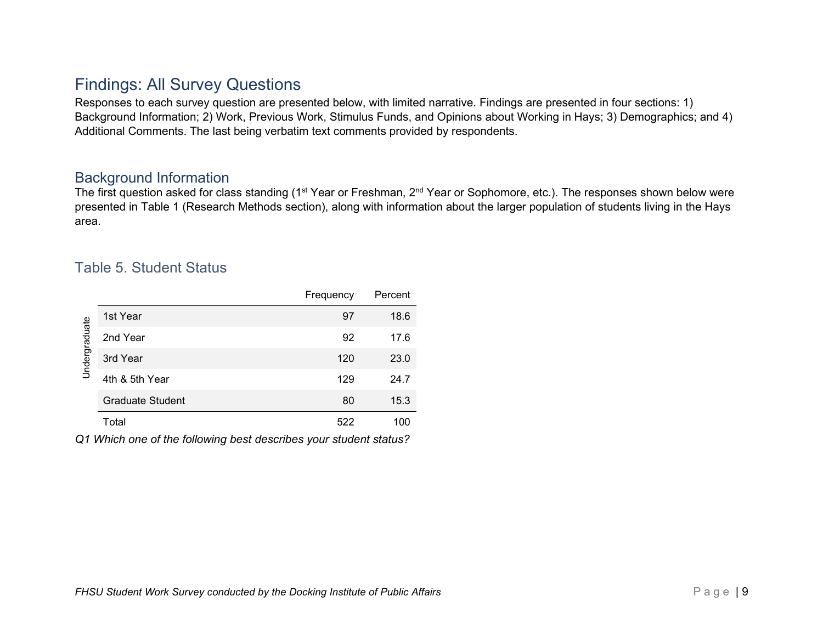## <span id="page-14-0"></span>Findings: All Survey Questions

Responses to each survey question are presented below, with limited narrative. Findings are presented in four sections: 1) Background Information; 2) Work, Previous Work, Stimulus Funds, and Opinions about Working in Hays; 3) Demographics; and 4) Additional Comments. The last being verbatim text comments provided by respondents.

### <span id="page-14-1"></span>Background Information

The first question asked for class standing (1<sup>st</sup> Year or Freshman, 2<sup>nd</sup> Year or Sophomore, etc.). The responses shown below were presented in Table 1 (Research Methods section), along with information about the larger population of students living in the Hays area.

## <span id="page-14-2"></span>Table 5. Student Status

|               |                         | Frequency | Percent |
|---------------|-------------------------|-----------|---------|
| Undergraduate | 1st Year                | 97        | 18.6    |
|               | 2nd Year                | 92        | 17.6    |
|               | 3rd Year                | 120       | 23.0    |
|               | 4th & 5th Year          | 129       | 24.7    |
|               | <b>Graduate Student</b> | 80        | 15.3    |
|               | Total                   | 522       | 100     |

*Q1 Which one of the following best describes your student status?*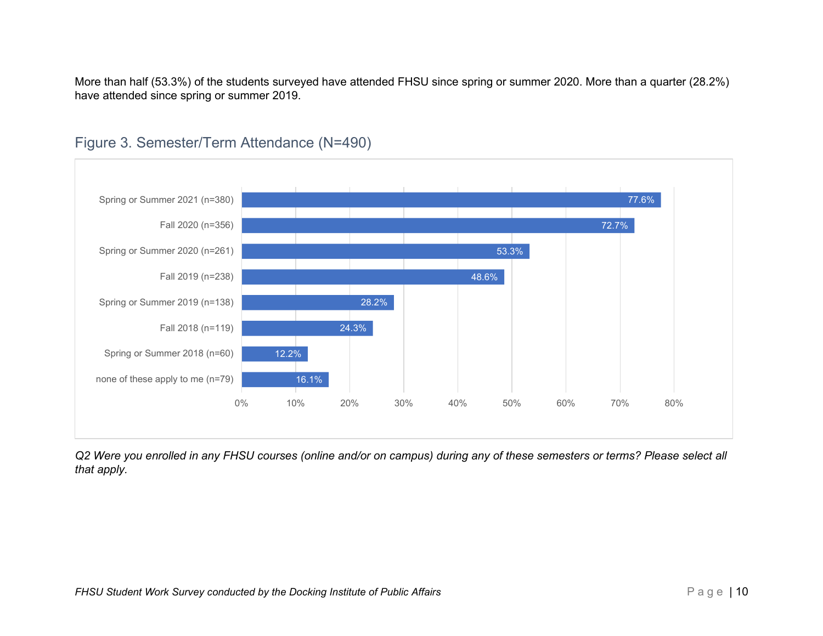More than half (53.3%) of the students surveyed have attended FHSU since spring or summer 2020. More than a quarter (28.2%) have attended since spring or summer 2019.



## <span id="page-15-0"></span>Figure 3. Semester/Term Attendance (N=490)

*Q2 Were you enrolled in any FHSU courses (online and/or on campus) during any of these semesters or terms? Please select all that apply.*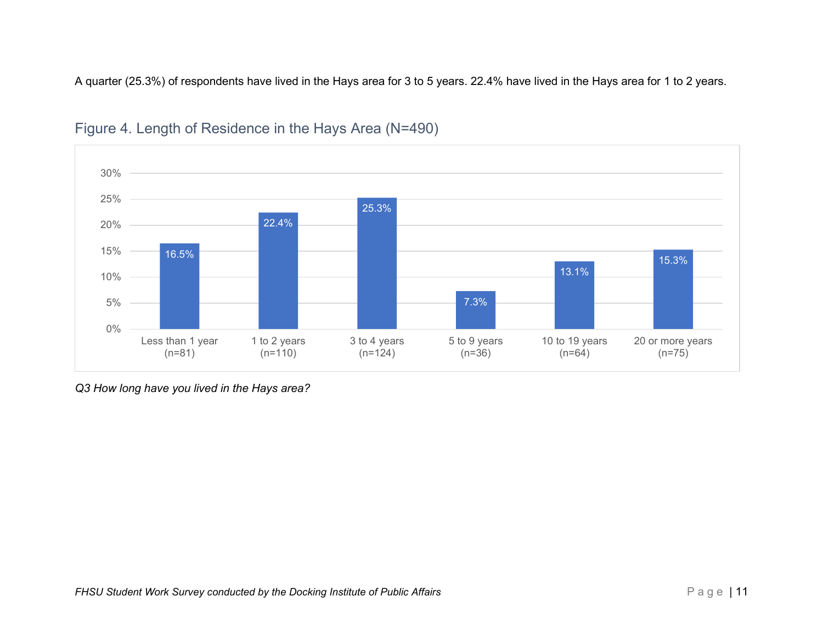A quarter (25.3%) of respondents have lived in the Hays area for 3 to 5 years. 22.4% have lived in the Hays area for 1 to 2 years.



## <span id="page-16-0"></span>Figure 4. Length of Residence in the Hays Area (N=490)

*Q3 How long have you lived in the Hays area?*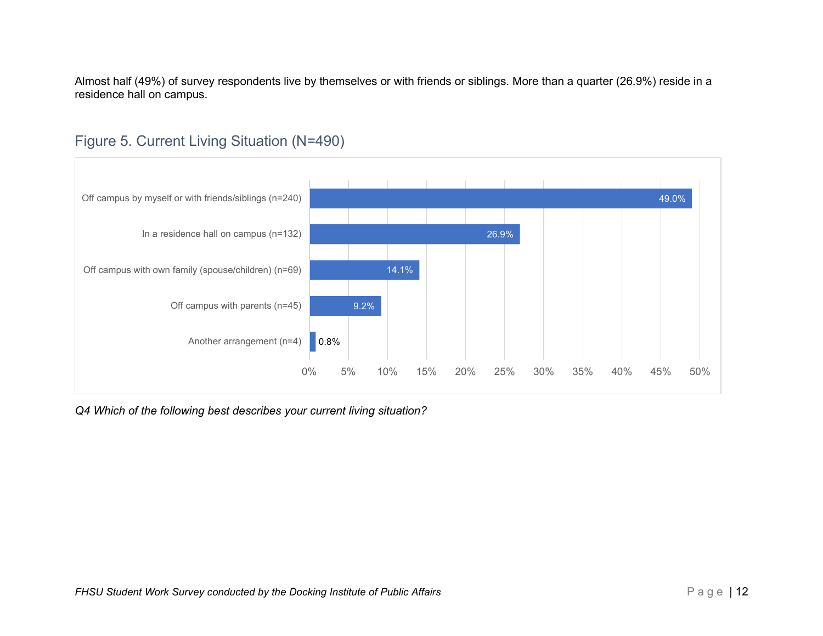Almost half (49%) of survey respondents live by themselves or with friends or siblings. More than a quarter (26.9%) reside in a residence hall on campus.



## <span id="page-17-0"></span>Figure 5. Current Living Situation (N=490)

*Q4 Which of the following best describes your current living situation?*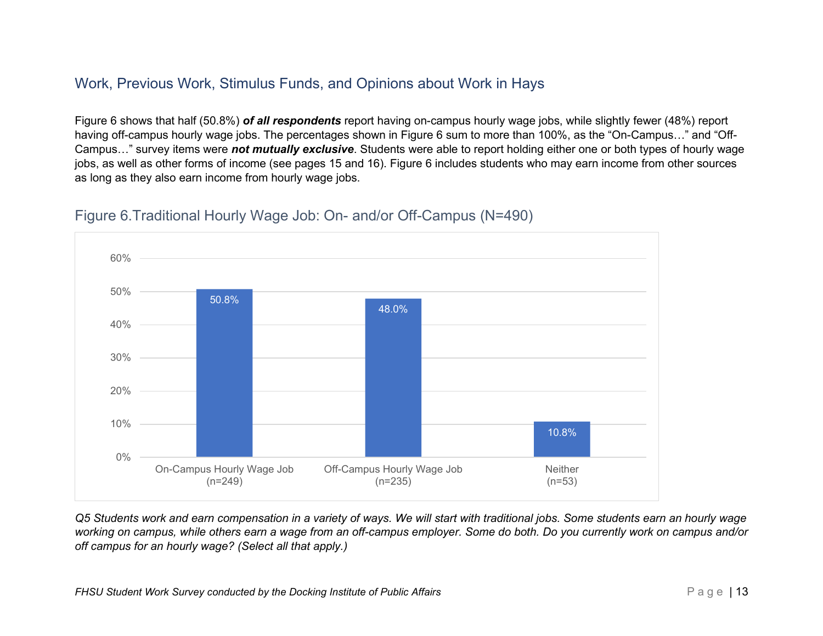## <span id="page-18-0"></span>Work, Previous Work, Stimulus Funds, and Opinions about Work in Hays

Figure 6 shows that half (50.8%) *of all respondents* report having on-campus hourly wage jobs, while slightly fewer (48%) report having off-campus hourly wage jobs. The percentages shown in Figure 6 sum to more than 100%, as the "On-Campus…" and "Off-Campus…" survey items were *not mutually exclusive*. Students were able to report holding either one or both types of hourly wage jobs, as well as other forms of income (see pages 15 and 16). Figure 6 includes students who may earn income from other sources as long as they also earn income from hourly wage jobs.



## <span id="page-18-1"></span>Figure 6.Traditional Hourly Wage Job: On- and/or Off-Campus (N=490)

*Q5 Students work and earn compensation in a variety of ways. We will start with traditional jobs. Some students earn an hourly wage working on campus, while others earn a wage from an off-campus employer. Some do both. Do you currently work on campus and/or off campus for an hourly wage? (Select all that apply.)*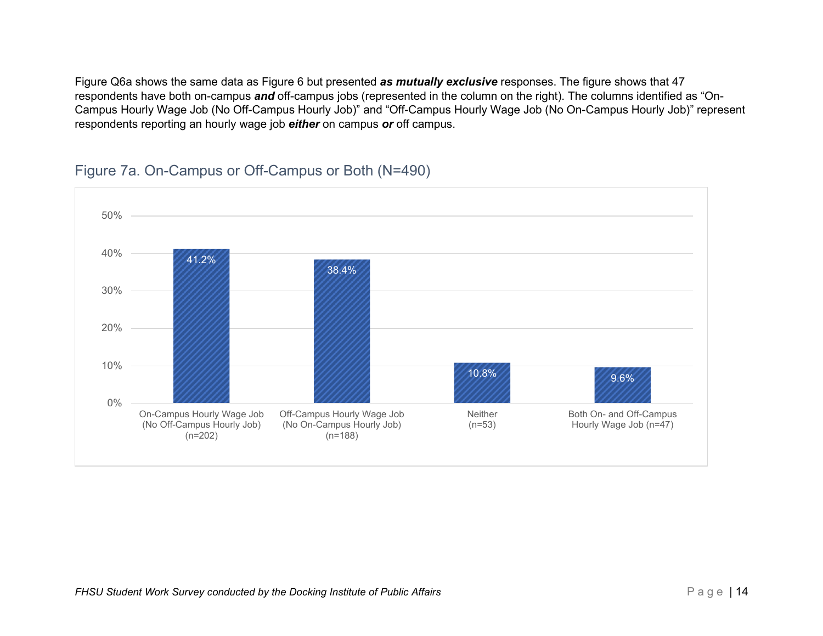Figure Q6a shows the same data as Figure 6 but presented *as mutually exclusive* responses. The figure shows that 47 respondents have both on-campus *and* off-campus jobs (represented in the column on the right). The columns identified as "On-Campus Hourly Wage Job (No Off-Campus Hourly Job)" and "Off-Campus Hourly Wage Job (No On-Campus Hourly Job)" represent respondents reporting an hourly wage job *either* on campus *or* off campus.



### <span id="page-19-0"></span>Figure 7a. On-Campus or Off-Campus or Both (N=490)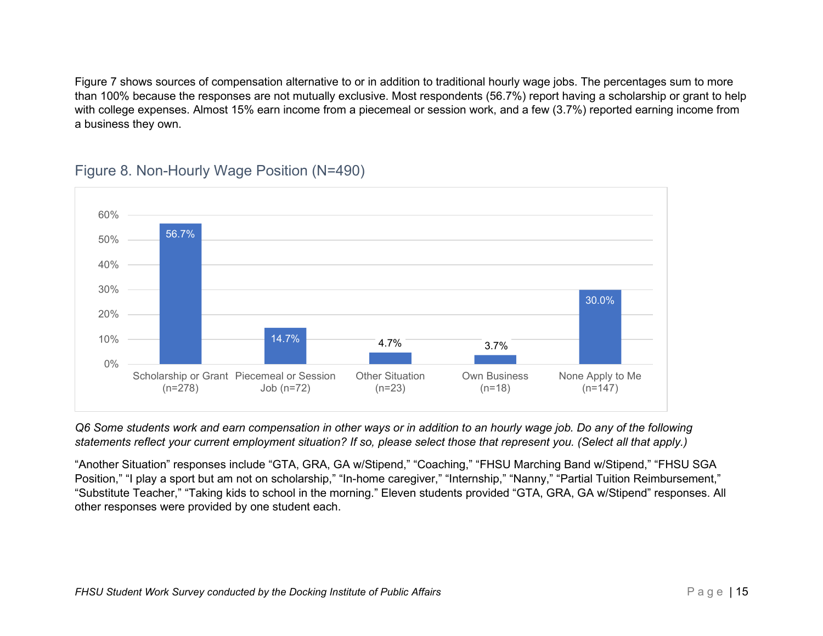Figure 7 shows sources of compensation alternative to or in addition to traditional hourly wage jobs. The percentages sum to more than 100% because the responses are not mutually exclusive. Most respondents (56.7%) report having a scholarship or grant to help with college expenses. Almost 15% earn income from a piecemeal or session work, and a few (3.7%) reported earning income from a business they own.



## <span id="page-20-0"></span>Figure 8. Non-Hourly Wage Position (N=490)

*Q6 Some students work and earn compensation in other ways or in addition to an hourly wage job. Do any of the following statements reflect your current employment situation? If so, please select those that represent you. (Select all that apply.)*

"Another Situation" responses include "GTA, GRA, GA w/Stipend," "Coaching," "FHSU Marching Band w/Stipend," "FHSU SGA Position," "I play a sport but am not on scholarship," "In-home caregiver," "Internship," "Nanny," "Partial Tuition Reimbursement," "Substitute Teacher," "Taking kids to school in the morning." Eleven students provided "GTA, GRA, GA w/Stipend" responses. All other responses were provided by one student each.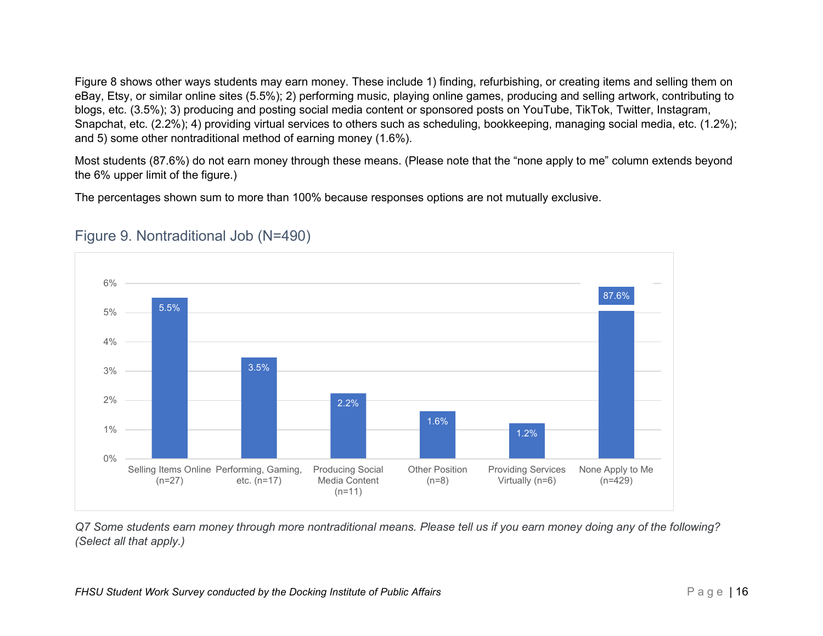Figure 8 shows other ways students may earn money. These include 1) finding, refurbishing, or creating items and selling them on eBay, Etsy, or similar online sites (5.5%); 2) performing music, playing online games, producing and selling artwork, contributing to blogs, etc. (3.5%); 3) producing and posting social media content or sponsored posts on YouTube, TikTok, Twitter, Instagram, Snapchat, etc. (2.2%); 4) providing virtual services to others such as scheduling, bookkeeping, managing social media, etc. (1.2%): and 5) some other nontraditional method of earning money (1.6%).

Most students (87.6%) do not earn money through these means. (Please note that the "none apply to me" column extends beyond the 6% upper limit of the figure.)

The percentages shown sum to more than 100% because responses options are not mutually exclusive.



## <span id="page-21-0"></span>Figure 9. Nontraditional Job (N=490)

*Q7 Some students earn money through more nontraditional means. Please tell us if you earn money doing any of the following? (Select all that apply.)*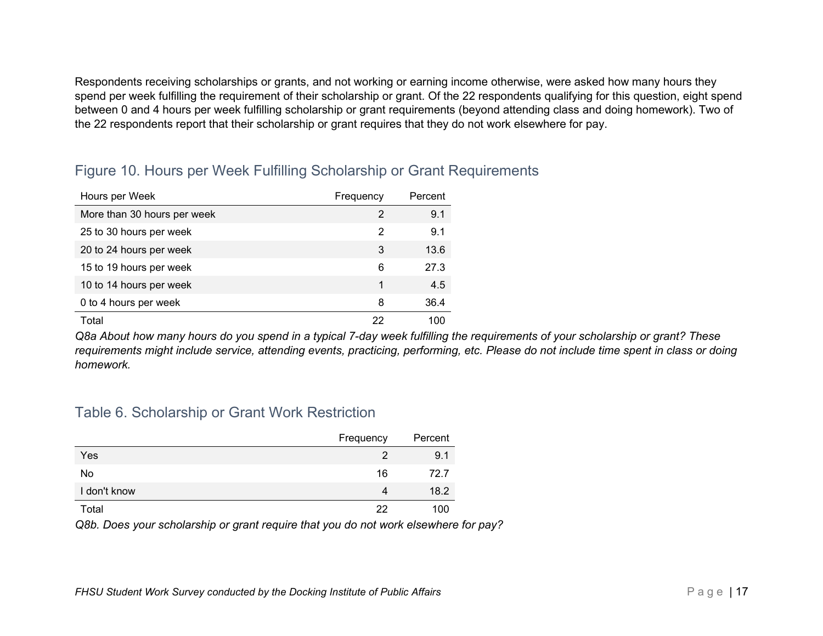Respondents receiving scholarships or grants, and not working or earning income otherwise, were asked how many hours they spend per week fulfilling the requirement of their scholarship or grant. Of the 22 respondents qualifying for this question, eight spend between 0 and 4 hours per week fulfilling scholarship or grant requirements (beyond attending class and doing homework). Two of the 22 respondents report that their scholarship or grant requires that they do not work elsewhere for pay.

| Hours per Week              | Frequency | Percent |
|-----------------------------|-----------|---------|
| More than 30 hours per week | 2         | 9.1     |
| 25 to 30 hours per week     | 2         | 9.1     |
| 20 to 24 hours per week     | 3         | 13.6    |
| 15 to 19 hours per week     | 6         | 27.3    |
| 10 to 14 hours per week     |           | 4.5     |
| 0 to 4 hours per week       | 8         | 36.4    |
| Total                       | 22        |         |

## <span id="page-22-1"></span>Figure 10. Hours per Week Fulfilling Scholarship or Grant Requirements

*Q8a About how many hours do you spend in a typical 7-day week fulfilling the requirements of your scholarship or grant? These requirements might include service, attending events, practicing, performing, etc. Please do not include time spent in class or doing homework.*

### <span id="page-22-0"></span>Table 6. Scholarship or Grant Work Restriction

|              | Frequency | Percent |
|--------------|-----------|---------|
| Yes          | 2         | 9.1     |
| No           | 16        | 72.7    |
| I don't know | 4         | 18.2    |
| Total        | つつ        | 100     |

*Q8b. Does your scholarship or grant require that you do not work elsewhere for pay?*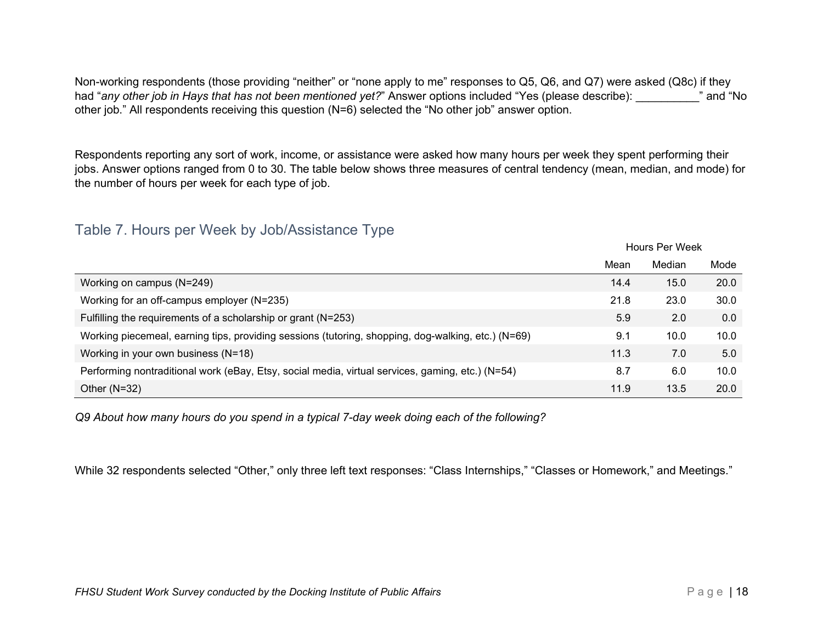Non-working respondents (those providing "neither" or "none apply to me" responses to Q5, Q6, and Q7) were asked (Q8c) if they had "any other job in Hays that has not been mentioned yet?" Answer options included "Yes (please describe):  $\blacksquare$  and "No other job." All respondents receiving this question (N=6) selected the "No other job" answer option.

Respondents reporting any sort of work, income, or assistance were asked how many hours per week they spent performing their jobs. Answer options ranged from 0 to 30. The table below shows three measures of central tendency (mean, median, and mode) for the number of hours per week for each type of job.

## <span id="page-23-0"></span>Table 7. Hours per Week by Job/Assistance Type

|                                                                                                    | HOUIS FEI WEEK |        |      |
|----------------------------------------------------------------------------------------------------|----------------|--------|------|
|                                                                                                    | Mean           | Median | Mode |
| Working on campus (N=249)                                                                          | 14.4           | 15.0   | 20.0 |
| Working for an off-campus employer (N=235)                                                         | 21.8           | 23.0   | 30.0 |
| Fulfilling the requirements of a scholarship or grant (N=253)                                      | 5.9            | 2.0    | 0.0  |
| Working piecemeal, earning tips, providing sessions (tutoring, shopping, dog-walking, etc.) (N=69) | 9.1            | 10.0   | 10.0 |
| Working in your own business (N=18)                                                                | 11.3           | 7.0    | 5.0  |
| Performing nontraditional work (eBay, Etsy, social media, virtual services, gaming, etc.) (N=54)   | 8.7            | 6.0    | 10.0 |
| Other $(N=32)$                                                                                     | 11.9           | 13.5   | 20.0 |

*Q9 About how many hours do you spend in a typical 7-day week doing each of the following?*

While 32 respondents selected "Other," only three left text responses: "Class Internships," "Classes or Homework," and Meetings."

Hours Per Week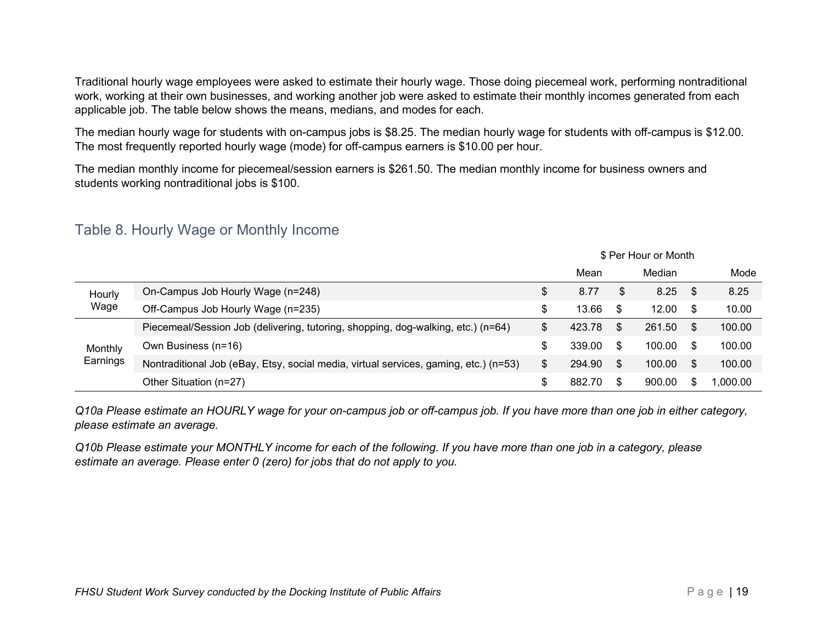Traditional hourly wage employees were asked to estimate their hourly wage. Those doing piecemeal work, performing nontraditional work, working at their own businesses, and working another job were asked to estimate their monthly incomes generated from each applicable job. The table below shows the means, medians, and modes for each.

The median hourly wage for students with on-campus jobs is \$8.25. The median hourly wage for students with off-campus is \$12.00. The most frequently reported hourly wage (mode) for off-campus earners is \$10.00 per hour.

The median monthly income for piecemeal/session earners is \$261.50. The median monthly income for business owners and students working nontraditional jobs is \$100.

|                     |                                                                                      |    | <b>D</b> Fel Flour of Month |     |        |     |           |
|---------------------|--------------------------------------------------------------------------------------|----|-----------------------------|-----|--------|-----|-----------|
|                     |                                                                                      |    | Mean                        |     | Median |     | Mode      |
| Hourly              | On-Campus Job Hourly Wage (n=248)                                                    |    | 8.77                        | S   | 8.25   | \$  | 8.25      |
| Wage                | Off-Campus Job Hourly Wage (n=235)                                                   | S  | 13.66                       | \$. | 12.00  |     | 10.00     |
| Monthly<br>Earnings | Piecemeal/Session Job (delivering, tutoring, shopping, dog-walking, etc.) (n=64)     | \$ | 423.78                      | \$. | 261.50 | S   | 100.00    |
|                     | Own Business (n=16)                                                                  | S  | 339.00                      | \$. | 100.00 |     | 100.00    |
|                     | Nontraditional Job (eBay, Etsy, social media, virtual services, gaming, etc.) (n=53) | \$ | 294.90                      | \$. | 100.00 | \$. | 100.00    |
|                     | Other Situation (n=27)                                                               |    | 882.70                      | \$. | 900.00 |     | $00.00$ . |

### <span id="page-24-0"></span>Table 8. Hourly Wage or Monthly Income

*Q10a Please estimate an HOURLY wage for your on-campus job or off-campus job. If you have more than one job in either category, please estimate an average.*

*Q10b Please estimate your MONTHLY income for each of the following. If you have more than one job in a category, please estimate an average. Please enter 0 (zero) for jobs that do not apply to you.*

\$ Per Hour or Month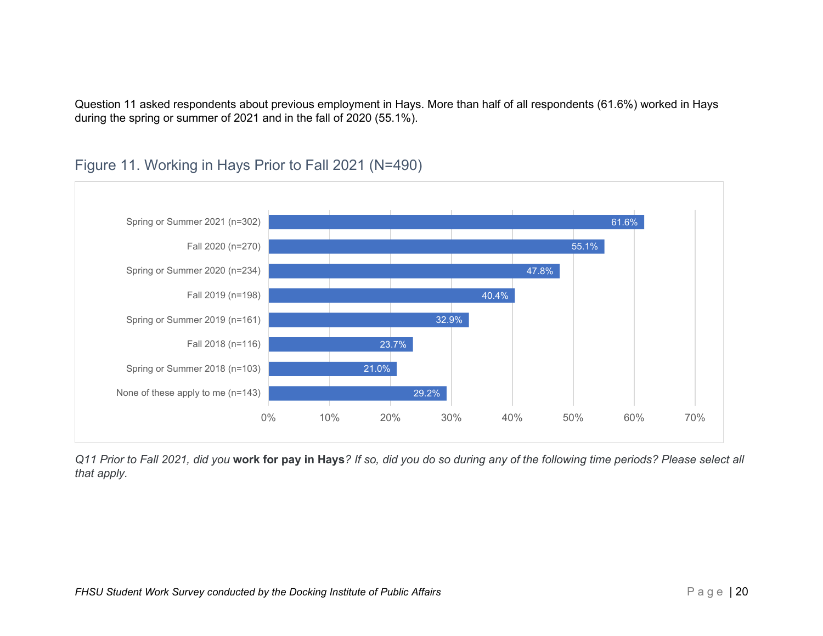Question 11 asked respondents about previous employment in Hays. More than half of all respondents (61.6%) worked in Hays during the spring or summer of 2021 and in the fall of 2020 (55.1%).



## <span id="page-25-0"></span>Figure 11. Working in Hays Prior to Fall 2021 (N=490)

*Q11 Prior to Fall 2021, did you* **work for pay in Hays***? If so, did you do so during any of the following time periods? Please select all that apply.*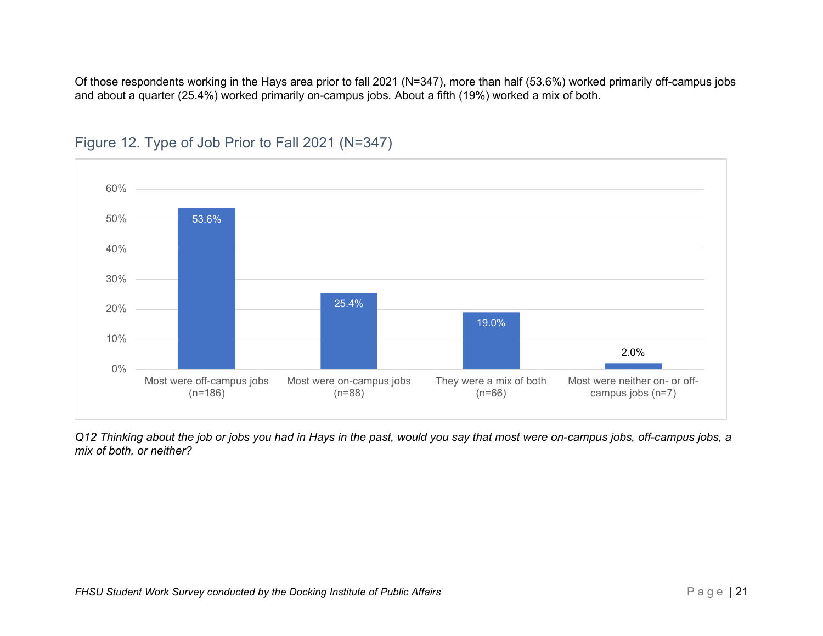Of those respondents working in the Hays area prior to fall 2021 (N=347), more than half (53.6%) worked primarily off-campus jobs and about a quarter (25.4%) worked primarily on-campus jobs. About a fifth (19%) worked a mix of both.



## <span id="page-26-0"></span>Figure 12. Type of Job Prior to Fall 2021 (N=347)

*Q12 Thinking about the job or jobs you had in Hays in the past, would you say that most were on-campus jobs, off-campus jobs, a mix of both, or neither?*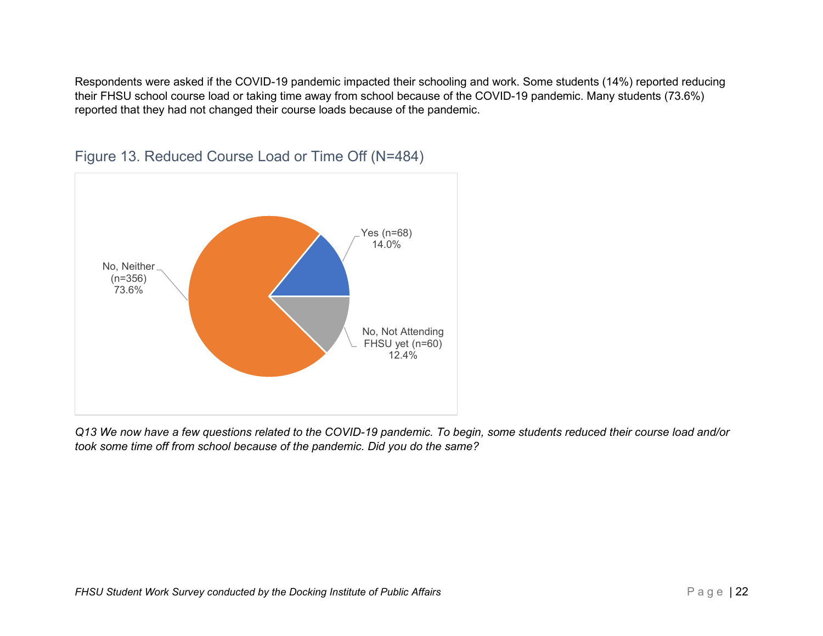Respondents were asked if the COVID-19 pandemic impacted their schooling and work. Some students (14%) reported reducing their FHSU school course load or taking time away from school because of the COVID-19 pandemic. Many students (73.6%) reported that they had not changed their course loads because of the pandemic.



## <span id="page-27-0"></span>Figure 13. Reduced Course Load or Time Off (N=484)

*Q13 We now have a few questions related to the COVID-19 pandemic. To begin, some students reduced their course load and/or took some time off from school because of the pandemic. Did you do the same?*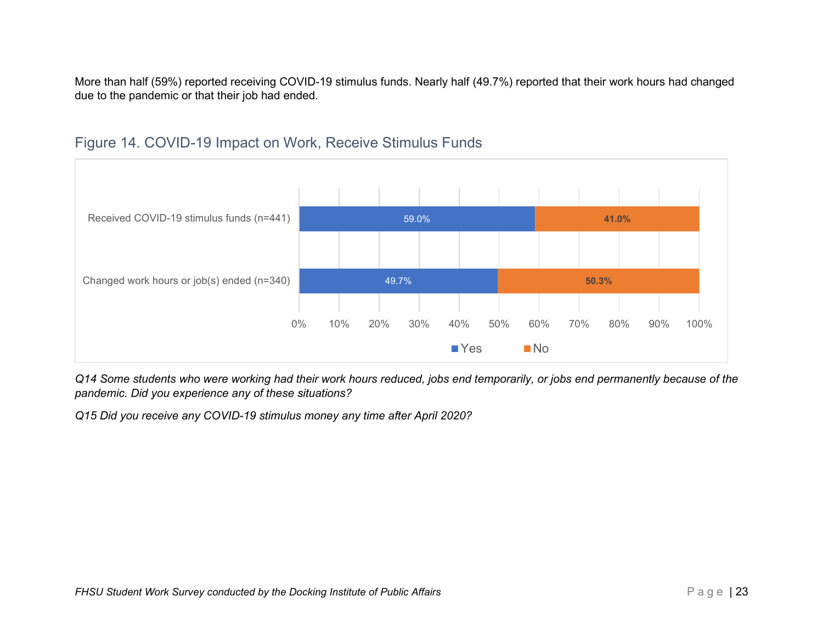More than half (59%) reported receiving COVID-19 stimulus funds. Nearly half (49.7%) reported that their work hours had changed due to the pandemic or that their job had ended.



## <span id="page-28-0"></span>Figure 14. COVID-19 Impact on Work, Receive Stimulus Funds

*Q14 Some students who were working had their work hours reduced, jobs end temporarily, or jobs end permanently because of the pandemic. Did you experience any of these situations?*

*Q15 Did you receive any COVID-19 stimulus money any time after April 2020?*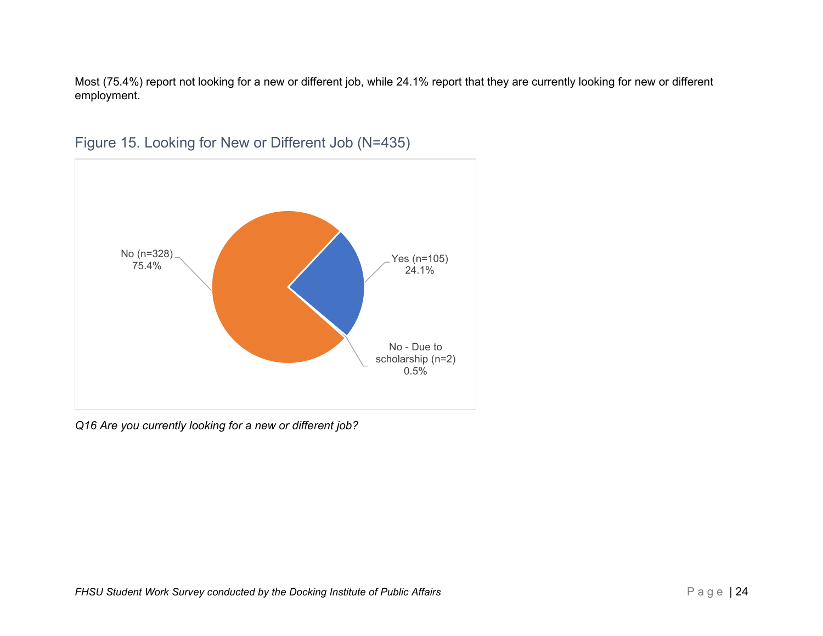Most (75.4%) report not looking for a new or different job, while 24.1% report that they are currently looking for new or different employment.



<span id="page-29-0"></span>Figure 15. Looking for New or Different Job (N=435)

*Q16 Are you currently looking for a new or different job?*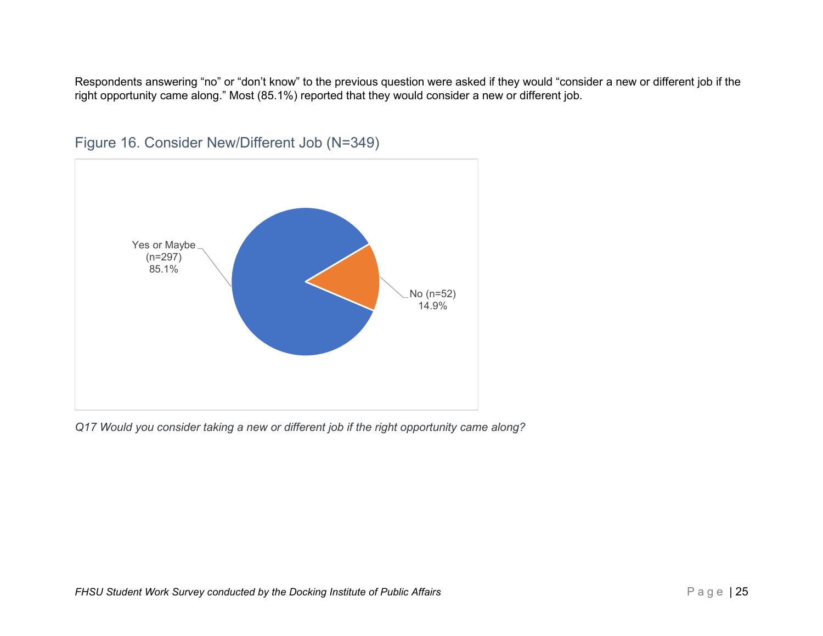Respondents answering "no" or "don't know" to the previous question were asked if they would "consider a new or different job if the right opportunity came along." Most (85.1%) reported that they would consider a new or different job.



<span id="page-30-0"></span>Figure 16. Consider New/Different Job (N=349)

*Q17 Would you consider taking a new or different job if the right opportunity came along?*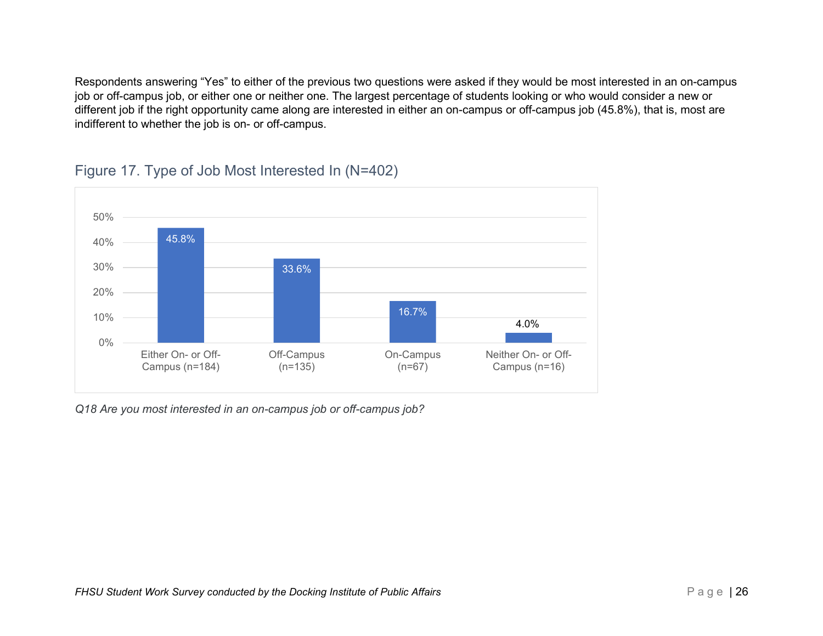Respondents answering "Yes" to either of the previous two questions were asked if they would be most interested in an on-campus job or off-campus job, or either one or neither one. The largest percentage of students looking or who would consider a new or different job if the right opportunity came along are interested in either an on-campus or off-campus job (45.8%), that is, most are indifferent to whether the job is on- or off-campus.



### <span id="page-31-0"></span>Figure 17. Type of Job Most Interested In (N=402)

*Q18 Are you most interested in an on-campus job or off-campus job?*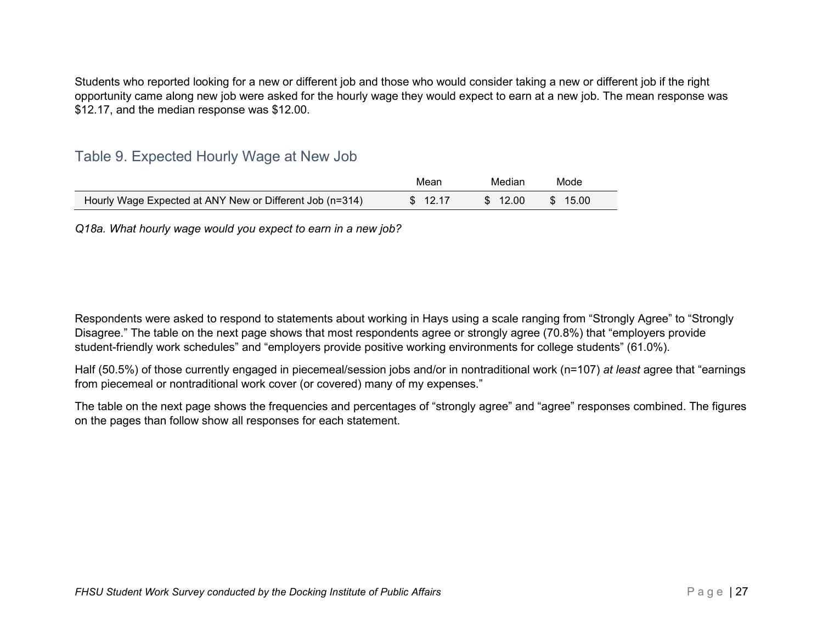Students who reported looking for a new or different job and those who would consider taking a new or different job if the right opportunity came along new job were asked for the hourly wage they would expect to earn at a new job. The mean response was \$12.17, and the median response was \$12.00.

### <span id="page-32-0"></span>Table 9. Expected Hourly Wage at New Job

|                                                          | Mean    | Median  | Mode                   |
|----------------------------------------------------------|---------|---------|------------------------|
| Hourly Wage Expected at ANY New or Different Job (n=314) | \$12.17 | \$12.00 | $\frac{1}{2}$ \$ 15.00 |

*Q18a. What hourly wage would you expect to earn in a new job?*

Respondents were asked to respond to statements about working in Hays using a scale ranging from "Strongly Agree" to "Strongly Disagree." The table on the next page shows that most respondents agree or strongly agree (70.8%) that "employers provide student-friendly work schedules" and "employers provide positive working environments for college students" (61.0%).

Half (50.5%) of those currently engaged in piecemeal/session jobs and/or in nontraditional work (n=107) *at least* agree that "earnings from piecemeal or nontraditional work cover (or covered) many of my expenses."

The table on the next page shows the frequencies and percentages of "strongly agree" and "agree" responses combined. The figures on the pages than follow show all responses for each statement.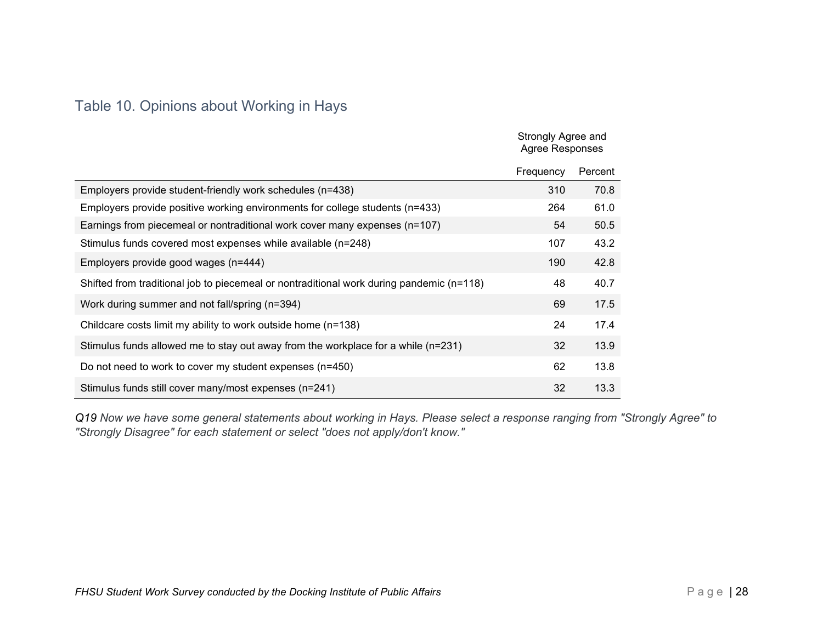## <span id="page-33-0"></span>Table 10. Opinions about Working in Hays

|                                                                                          | Strongly Agree and<br>Agree Responses |         |
|------------------------------------------------------------------------------------------|---------------------------------------|---------|
|                                                                                          | Frequency                             | Percent |
| Employers provide student-friendly work schedules (n=438)                                | 310                                   | 70.8    |
| Employers provide positive working environments for college students (n=433)             | 264                                   | 61.0    |
| Earnings from piecemeal or nontraditional work cover many expenses (n=107)               | 54                                    | 50.5    |
| Stimulus funds covered most expenses while available (n=248)                             | 107                                   | 43.2    |
| Employers provide good wages (n=444)                                                     | 190                                   | 42.8    |
| Shifted from traditional job to piecemeal or nontraditional work during pandemic (n=118) | 48                                    | 40.7    |
| Work during summer and not fall/spring (n=394)                                           | 69                                    | 17.5    |
| Childcare costs limit my ability to work outside home (n=138)                            | 24                                    | 17.4    |
| Stimulus funds allowed me to stay out away from the workplace for a while (n=231)        | 32                                    | 13.9    |
| Do not need to work to cover my student expenses (n=450)                                 | 62                                    | 13.8    |
| Stimulus funds still cover many/most expenses (n=241)                                    | 32                                    | 13.3    |

*Q19 Now we have some general statements about working in Hays. Please select a response ranging from "Strongly Agree" to "Strongly Disagree" for each statement or select "does not apply/don't know."*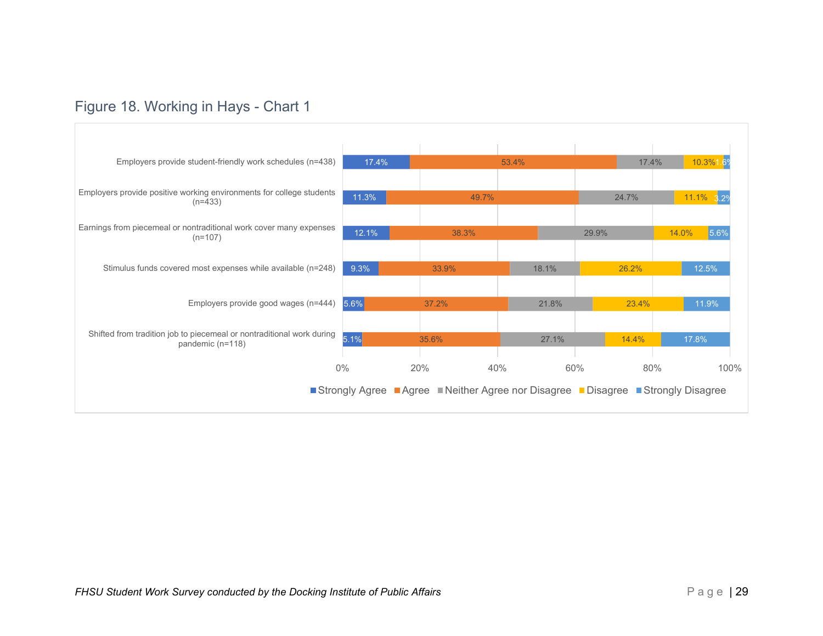## <span id="page-34-0"></span>Figure 18. Working in Hays - Chart 1

| Employers provide student-friendly work schedules (n=438)<br>17.4%            |       | 53.4% |              | 10.3%1.6%                                                                                         |
|-------------------------------------------------------------------------------|-------|-------|--------------|---------------------------------------------------------------------------------------------------|
| Employers provide positive working environments for college students<br>11.3% |       |       | 24.7%        | 11.1% 3.2%                                                                                        |
| Earnings from piecemeal or nontraditional work cover many expenses<br>12.1%   | 38.3% |       | 29.9%        | 14.0%<br>5.6%                                                                                     |
| Stimulus funds covered most expenses while available (n=248)<br>9.3%          | 33.9% | 18.1% | 26.2%        | 12.5%                                                                                             |
| Employers provide good wages (n=444)<br>5.6%                                  | 37.2% | 21.8% | 23.4%        | 11.9%                                                                                             |
| Shifted from tradition job to piecemeal or nontraditional work during<br>5.1% | 35.6% | 27.1% | 14.4%        | 17.8%                                                                                             |
| $0\%$                                                                         | 20%   |       |              | 100%                                                                                              |
|                                                                               |       |       |              |                                                                                                   |
|                                                                               |       |       | 49.7%<br>40% | 17.4%<br>60%<br>80%<br>Strongly Agree Agree Neither Agree nor Disagree Disagree Strongly Disagree |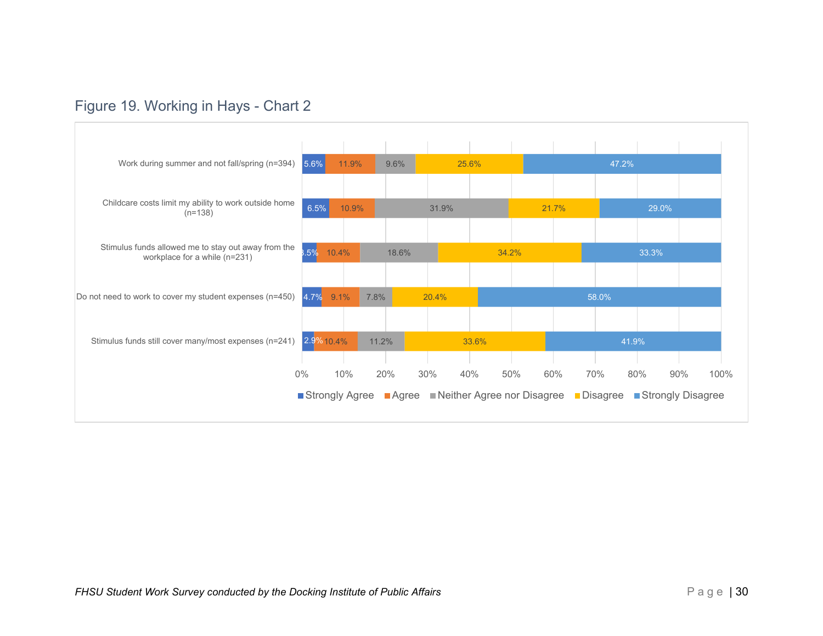## <span id="page-35-0"></span>Figure 19. Working in Hays - Chart 2

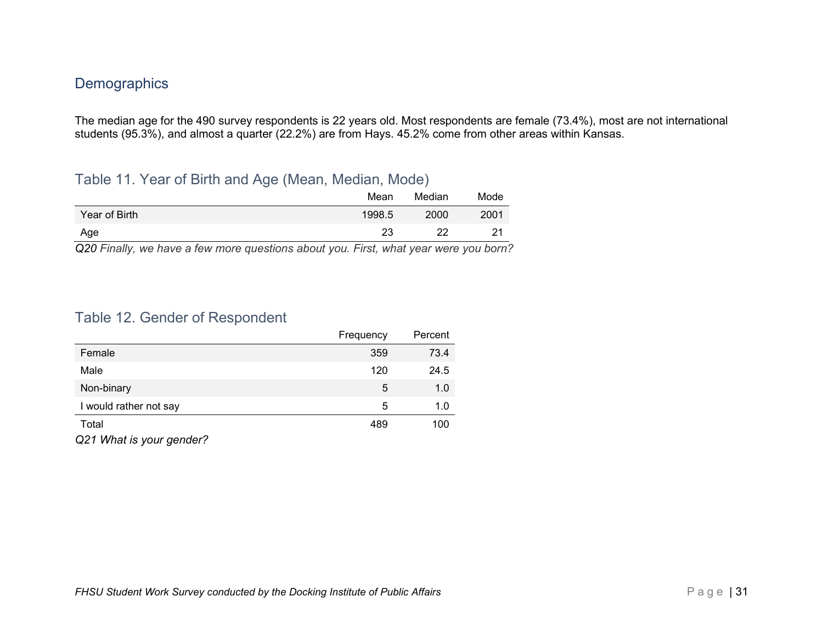## <span id="page-36-0"></span>**Demographics**

The median age for the 490 survey respondents is 22 years old. Most respondents are female (73.4%), most are not international students (95.3%), and almost a quarter (22.2%) are from Hays. 45.2% come from other areas within Kansas.

### <span id="page-36-1"></span>Table 11. Year of Birth and Age (Mean, Median, Mode)

| ____          | Mean   | Median | Mode |
|---------------|--------|--------|------|
| Year of Birth | 1998.5 | 2000   | 2001 |
| Age           | 23     | າາ     | つ1   |

*Q20 Finally, we have a few more questions about you. First, what year were you born?*

### <span id="page-36-2"></span>Table 12. Gender of Respondent

|                        | Frequency | Percent |
|------------------------|-----------|---------|
| Female                 | 359       | 73.4    |
| Male                   | 120       | 24.5    |
| Non-binary             | 5         | 1.0     |
| I would rather not say | 5         | 1.0     |
| Total                  | 489       | 100     |
|                        |           |         |

*Q21 What is your gender?*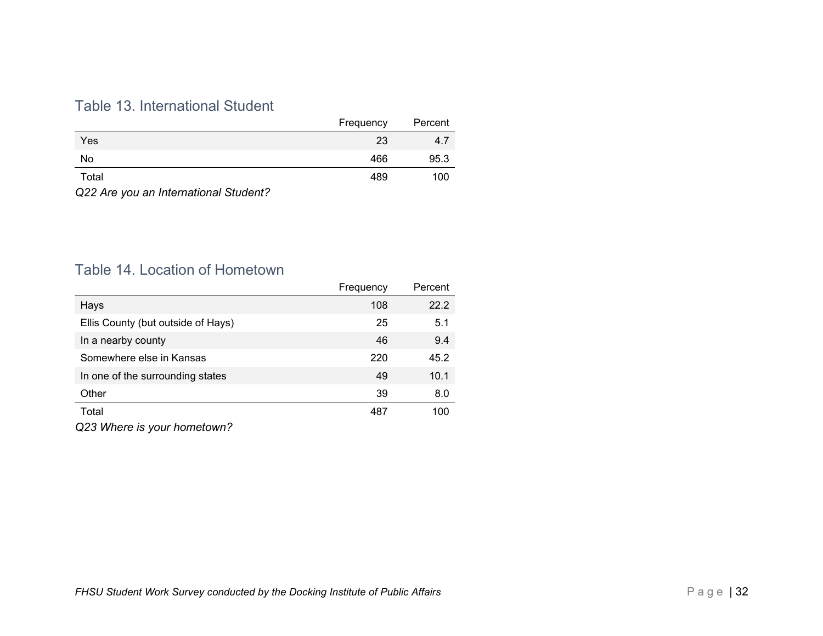## <span id="page-37-0"></span>Table 13. International Student

|                      | Frequency | Percent |
|----------------------|-----------|---------|
| Yes                  | 23        | 4.7     |
| No                   | 466       | 95.3    |
| Total                | 489       | 100     |
| $\sim$ $\sim$ $\sim$ |           |         |

*Q22 Are you an International Student?*

## <span id="page-37-1"></span>Table 14. Location of Hometown

|                                    | Frequency | Percent |
|------------------------------------|-----------|---------|
| Hays                               | 108       | 22.2    |
| Ellis County (but outside of Hays) | 25        | 5.1     |
| In a nearby county                 | 46        | 9.4     |
| Somewhere else in Kansas           | 220       | 45.2    |
| In one of the surrounding states   | 49        | 10.1    |
| Other                              | 39        | 8.0     |
| Total                              | 487       | 100     |
| $\bigcap_{n=1}^{\infty}$           |           |         |

*Q23 Where is your hometown?*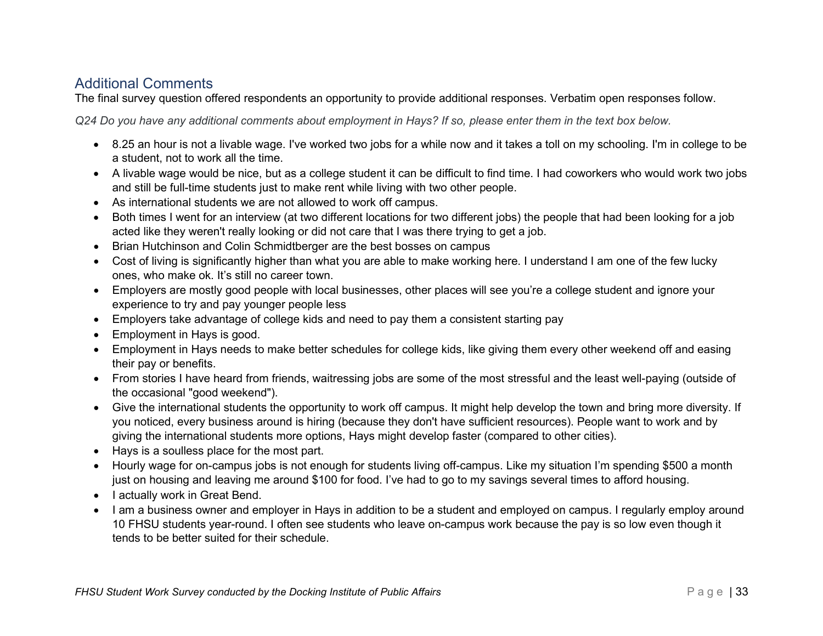### <span id="page-38-0"></span>Additional Comments

The final survey question offered respondents an opportunity to provide additional responses. Verbatim open responses follow.

*Q24 Do you have any additional comments about employment in Hays? If so, please enter them in the text box below.*

- 8.25 an hour is not a livable wage. I've worked two jobs for a while now and it takes a toll on my schooling. I'm in college to be a student, not to work all the time.
- A livable wage would be nice, but as a college student it can be difficult to find time. I had coworkers who would work two jobs and still be full-time students just to make rent while living with two other people.
- As international students we are not allowed to work off campus.
- Both times I went for an interview (at two different locations for two different jobs) the people that had been looking for a job acted like they weren't really looking or did not care that I was there trying to get a job.
- Brian Hutchinson and Colin Schmidtberger are the best bosses on campus
- Cost of living is significantly higher than what you are able to make working here. I understand I am one of the few lucky ones, who make ok. It's still no career town.
- Employers are mostly good people with local businesses, other places will see you're a college student and ignore your experience to try and pay younger people less
- Employers take advantage of college kids and need to pay them a consistent starting pay
- Employment in Hays is good.
- Employment in Hays needs to make better schedules for college kids, like giving them every other weekend off and easing their pay or benefits.
- From stories I have heard from friends, waitressing jobs are some of the most stressful and the least well-paying (outside of the occasional "good weekend").
- Give the international students the opportunity to work off campus. It might help develop the town and bring more diversity. If you noticed, every business around is hiring (because they don't have sufficient resources). People want to work and by giving the international students more options, Hays might develop faster (compared to other cities).
- Hays is a soulless place for the most part.
- Hourly wage for on-campus jobs is not enough for students living off-campus. Like my situation I'm spending \$500 a month just on housing and leaving me around \$100 for food. I've had to go to my savings several times to afford housing.
- I actually work in Great Bend.
- I am a business owner and employer in Hays in addition to be a student and employed on campus. I regularly employ around 10 FHSU students year-round. I often see students who leave on-campus work because the pay is so low even though it tends to be better suited for their schedule.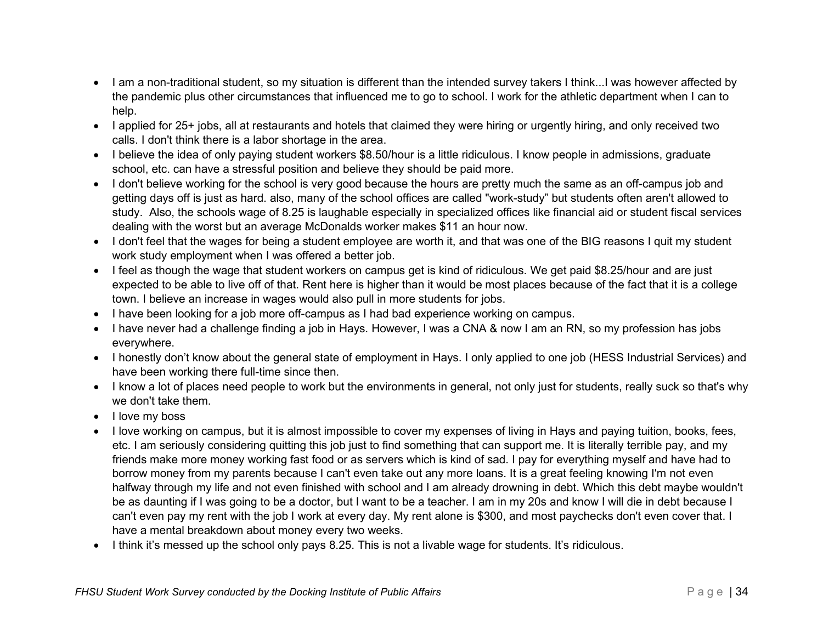- I am a non-traditional student, so my situation is different than the intended survey takers I think...I was however affected by the pandemic plus other circumstances that influenced me to go to school. I work for the athletic department when I can to help.
- I applied for 25+ jobs, all at restaurants and hotels that claimed they were hiring or urgently hiring, and only received two calls. I don't think there is a labor shortage in the area.
- I believe the idea of only paying student workers \$8.50/hour is a little ridiculous. I know people in admissions, graduate school, etc. can have a stressful position and believe they should be paid more.
- I don't believe working for the school is very good because the hours are pretty much the same as an off-campus job and getting days off is just as hard. also, many of the school offices are called "work-study" but students often aren't allowed to study. Also, the schools wage of 8.25 is laughable especially in specialized offices like financial aid or student fiscal services dealing with the worst but an average McDonalds worker makes \$11 an hour now.
- I don't feel that the wages for being a student employee are worth it, and that was one of the BIG reasons I quit my student work study employment when I was offered a better job.
- I feel as though the wage that student workers on campus get is kind of ridiculous. We get paid \$8.25/hour and are just expected to be able to live off of that. Rent here is higher than it would be most places because of the fact that it is a college town. I believe an increase in wages would also pull in more students for jobs.
- I have been looking for a job more off-campus as I had bad experience working on campus.
- I have never had a challenge finding a job in Hays. However, I was a CNA & now I am an RN, so my profession has jobs everywhere.
- I honestly don't know about the general state of employment in Hays. I only applied to one job (HESS Industrial Services) and have been working there full-time since then.
- I know a lot of places need people to work but the environments in general, not only just for students, really suck so that's why we don't take them.
- I love my boss
- I love working on campus, but it is almost impossible to cover my expenses of living in Hays and paying tuition, books, fees, etc. I am seriously considering quitting this job just to find something that can support me. It is literally terrible pay, and my friends make more money working fast food or as servers which is kind of sad. I pay for everything myself and have had to borrow money from my parents because I can't even take out any more loans. It is a great feeling knowing I'm not even halfway through my life and not even finished with school and I am already drowning in debt. Which this debt maybe wouldn't be as daunting if I was going to be a doctor, but I want to be a teacher. I am in my 20s and know I will die in debt because I can't even pay my rent with the job I work at every day. My rent alone is \$300, and most paychecks don't even cover that. I have a mental breakdown about money every two weeks.
- I think it's messed up the school only pays 8.25. This is not a livable wage for students. It's ridiculous.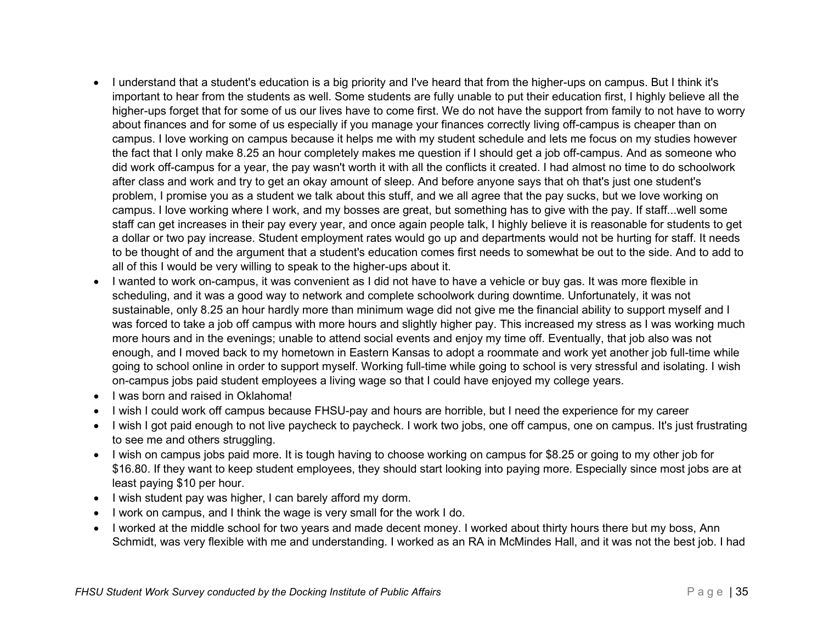- I understand that a student's education is a big priority and I've heard that from the higher-ups on campus. But I think it's important to hear from the students as well. Some students are fully unable to put their education first, I highly believe all the higher-ups forget that for some of us our lives have to come first. We do not have the support from family to not have to worry about finances and for some of us especially if you manage your finances correctly living off-campus is cheaper than on campus. I love working on campus because it helps me with my student schedule and lets me focus on my studies however the fact that I only make 8.25 an hour completely makes me question if I should get a job off-campus. And as someone who did work off-campus for a year, the pay wasn't worth it with all the conflicts it created. I had almost no time to do schoolwork after class and work and try to get an okay amount of sleep. And before anyone says that oh that's just one student's problem, I promise you as a student we talk about this stuff, and we all agree that the pay sucks, but we love working on campus. I love working where I work, and my bosses are great, but something has to give with the pay. If staff...well some staff can get increases in their pay every year, and once again people talk, I highly believe it is reasonable for students to get a dollar or two pay increase. Student employment rates would go up and departments would not be hurting for staff. It needs to be thought of and the argument that a student's education comes first needs to somewhat be out to the side. And to add to all of this I would be very willing to speak to the higher-ups about it.
- I wanted to work on-campus, it was convenient as I did not have to have a vehicle or buy gas. It was more flexible in scheduling, and it was a good way to network and complete schoolwork during downtime. Unfortunately, it was not sustainable, only 8.25 an hour hardly more than minimum wage did not give me the financial ability to support myself and I was forced to take a job off campus with more hours and slightly higher pay. This increased my stress as I was working much more hours and in the evenings; unable to attend social events and enjoy my time off. Eventually, that job also was not enough, and I moved back to my hometown in Eastern Kansas to adopt a roommate and work yet another job full-time while going to school online in order to support myself. Working full-time while going to school is very stressful and isolating. I wish on-campus jobs paid student employees a living wage so that I could have enjoyed my college years.
- I was born and raised in Oklahoma!
- I wish I could work off campus because FHSU-pay and hours are horrible, but I need the experience for my career
- I wish I got paid enough to not live paycheck to paycheck. I work two jobs, one off campus, one on campus. It's just frustrating to see me and others struggling.
- I wish on campus jobs paid more. It is tough having to choose working on campus for \$8.25 or going to my other job for \$16.80. If they want to keep student employees, they should start looking into paying more. Especially since most jobs are at least paying \$10 per hour.
- I wish student pay was higher, I can barely afford my dorm.
- I work on campus, and I think the wage is very small for the work I do.
- I worked at the middle school for two years and made decent money. I worked about thirty hours there but my boss, Ann Schmidt, was very flexible with me and understanding. I worked as an RA in McMindes Hall, and it was not the best job. I had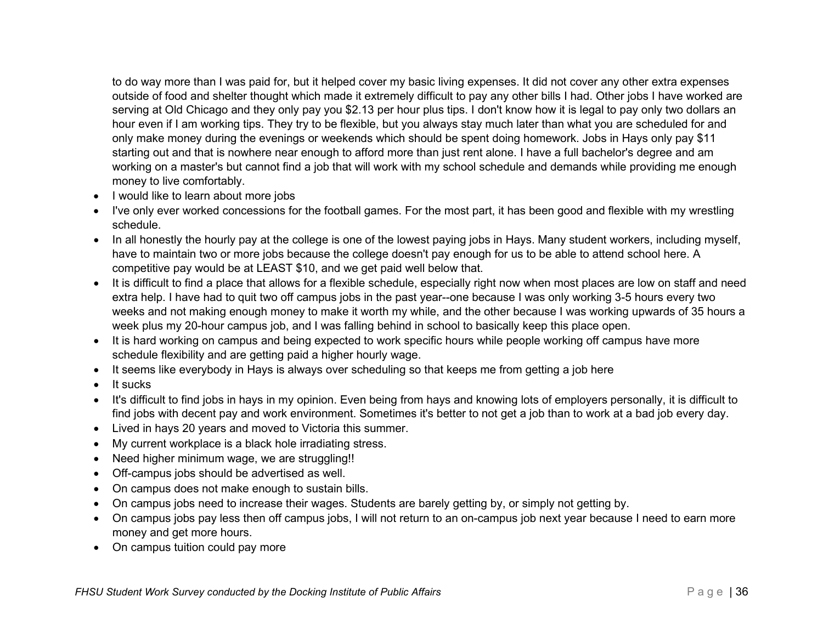to do way more than I was paid for, but it helped cover my basic living expenses. It did not cover any other extra expenses outside of food and shelter thought which made it extremely difficult to pay any other bills I had. Other jobs I have worked are serving at Old Chicago and they only pay you \$2.13 per hour plus tips. I don't know how it is legal to pay only two dollars an hour even if I am working tips. They try to be flexible, but you always stay much later than what you are scheduled for and only make money during the evenings or weekends which should be spent doing homework. Jobs in Hays only pay \$11 starting out and that is nowhere near enough to afford more than just rent alone. I have a full bachelor's degree and am working on a master's but cannot find a job that will work with my school schedule and demands while providing me enough money to live comfortably.

- I would like to learn about more jobs
- I've only ever worked concessions for the football games. For the most part, it has been good and flexible with my wrestling schedule.
- In all honestly the hourly pay at the college is one of the lowest paying jobs in Hays. Many student workers, including myself, have to maintain two or more jobs because the college doesn't pay enough for us to be able to attend school here. A competitive pay would be at LEAST \$10, and we get paid well below that.
- It is difficult to find a place that allows for a flexible schedule, especially right now when most places are low on staff and need extra help. I have had to quit two off campus jobs in the past year--one because I was only working 3-5 hours every two weeks and not making enough money to make it worth my while, and the other because I was working upwards of 35 hours a week plus my 20-hour campus job, and I was falling behind in school to basically keep this place open.
- It is hard working on campus and being expected to work specific hours while people working off campus have more schedule flexibility and are getting paid a higher hourly wage.
- It seems like everybody in Hays is always over scheduling so that keeps me from getting a job here
- It sucks
- It's difficult to find jobs in hays in my opinion. Even being from hays and knowing lots of employers personally, it is difficult to find jobs with decent pay and work environment. Sometimes it's better to not get a job than to work at a bad job every day.
- Lived in hays 20 years and moved to Victoria this summer.
- My current workplace is a black hole irradiating stress.
- Need higher minimum wage, we are struggling!!
- Off-campus jobs should be advertised as well.
- On campus does not make enough to sustain bills.
- On campus jobs need to increase their wages. Students are barely getting by, or simply not getting by.
- On campus jobs pay less then off campus jobs, I will not return to an on-campus job next year because I need to earn more money and get more hours.
- On campus tuition could pay more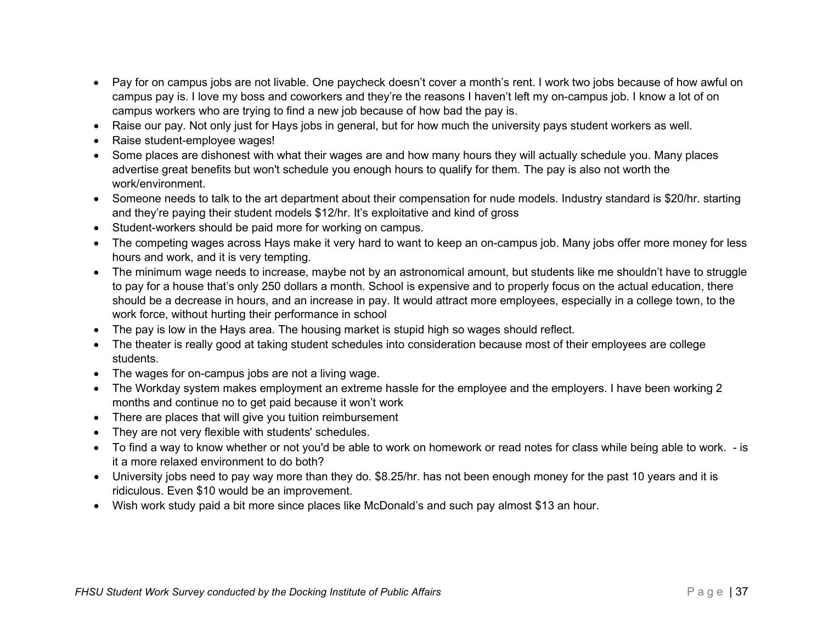- Pay for on campus jobs are not livable. One paycheck doesn't cover a month's rent. I work two jobs because of how awful on campus pay is. I love my boss and coworkers and they're the reasons I haven't left my on-campus job. I know a lot of on campus workers who are trying to find a new job because of how bad the pay is.
- Raise our pay. Not only just for Hays jobs in general, but for how much the university pays student workers as well.
- Raise student-employee wages!
- Some places are dishonest with what their wages are and how many hours they will actually schedule you. Many places advertise great benefits but won't schedule you enough hours to qualify for them. The pay is also not worth the work/environment.
- Someone needs to talk to the art department about their compensation for nude models. Industry standard is \$20/hr. starting and they're paying their student models \$12/hr. It's exploitative and kind of gross
- Student-workers should be paid more for working on campus.
- The competing wages across Hays make it very hard to want to keep an on-campus job. Many jobs offer more money for less hours and work, and it is very tempting.
- The minimum wage needs to increase, maybe not by an astronomical amount, but students like me shouldn't have to struggle to pay for a house that's only 250 dollars a month. School is expensive and to properly focus on the actual education, there should be a decrease in hours, and an increase in pay. It would attract more employees, especially in a college town, to the work force, without hurting their performance in school
- The pay is low in the Hays area. The housing market is stupid high so wages should reflect.
- The theater is really good at taking student schedules into consideration because most of their employees are college students.
- The wages for on-campus jobs are not a living wage.
- The Workday system makes employment an extreme hassle for the employee and the employers. I have been working 2 months and continue no to get paid because it won't work
- There are places that will give you tuition reimbursement
- They are not very flexible with students' schedules.
- To find a way to know whether or not you'd be able to work on homework or read notes for class while being able to work. is it a more relaxed environment to do both?
- University jobs need to pay way more than they do. \$8.25/hr. has not been enough money for the past 10 years and it is ridiculous. Even \$10 would be an improvement.
- Wish work study paid a bit more since places like McDonald's and such pay almost \$13 an hour.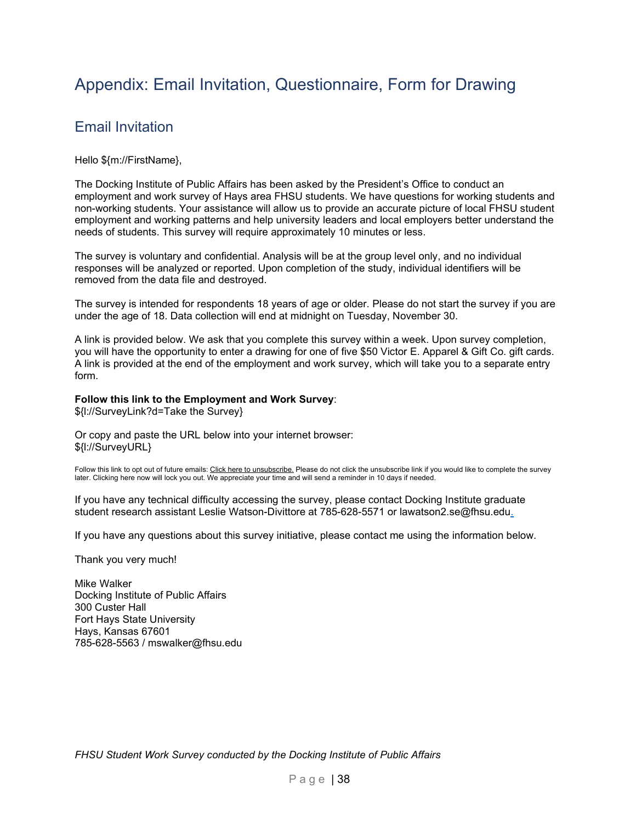## <span id="page-43-1"></span><span id="page-43-0"></span>Appendix: Email Invitation, Questionnaire, Form for Drawing

## Email Invitation

Hello \${m://FirstName},

The Docking Institute of Public Affairs has been asked by the President's Office to conduct an employment and work survey of Hays area FHSU students. We have questions for working students and non-working students. Your assistance will allow us to provide an accurate picture of local FHSU student employment and working patterns and help university leaders and local employers better understand the needs of students. This survey will require approximately 10 minutes or less.

The survey is voluntary and confidential. Analysis will be at the group level only, and no individual responses will be analyzed or reported. Upon completion of the study, individual identifiers will be removed from the data file and destroyed.

The survey is intended for respondents 18 years of age or older. Please do not start the survey if you are under the age of 18. Data collection will end at midnight on Tuesday, November 30.

A link is provided below. We ask that you complete this survey within a week. Upon survey completion, you will have the opportunity to enter a drawing for one of five \$50 Victor E. Apparel & Gift Co. gift cards. A link is provided at the end of the employment and work survey, which will take you to a separate entry form.

#### **Follow this link to the Employment and Work Survey**:

\${l://SurveyLink?d=Take the Survey}

Or copy and paste the URL below into your internet browser: \${l://SurveyURL}

Follow this link to opt out of future emails: Click here to unsubscribe. Please do not click the unsubscribe link if you would like to complete the survey later. Clicking here now will lock you out. We appreciate your time and will send a reminder in 10 days if needed.

If you have any technical difficulty accessing the survey, please contact Docking Institute graduate student research assistant Leslie Watson-Divittore at 785-628-5571 or lawatson2.se@fhsu.edu.

If you have any questions about this survey initiative, please contact me using the information below.

Thank you very much!

Mike Walker Docking Institute of Public Affairs 300 Custer Hall Fort Hays State University Hays, Kansas 67601 785-628-5563 / mswalker@fhsu.edu

*FHSU Student Work Survey conducted by the Docking Institute of Public Affairs*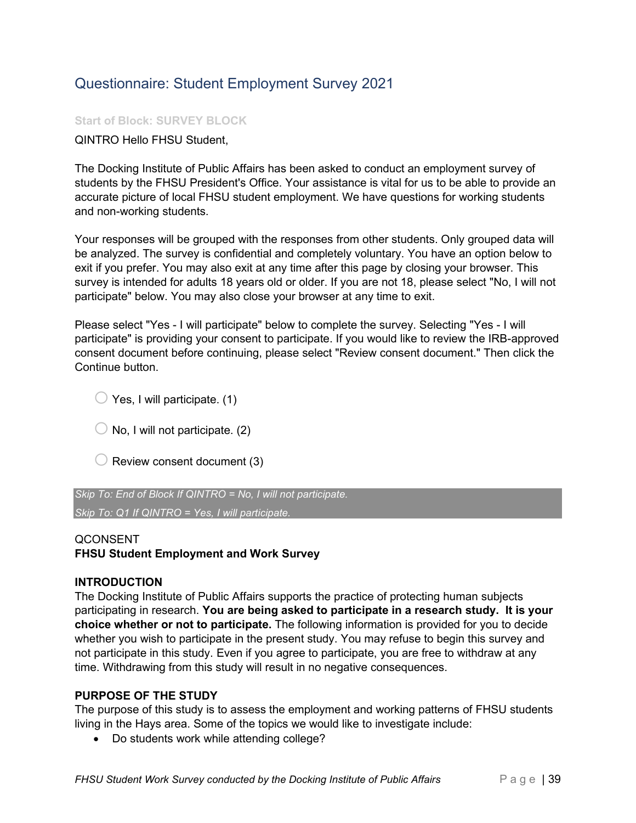## <span id="page-44-0"></span>Questionnaire: Student Employment Survey 2021

### **Start of Block: SURVEY BLOCK**

QINTRO Hello FHSU Student,

The Docking Institute of Public Affairs has been asked to conduct an employment survey of students by the FHSU President's Office. Your assistance is vital for us to be able to provide an accurate picture of local FHSU student employment. We have questions for working students and non-working students.

Your responses will be grouped with the responses from other students. Only grouped data will be analyzed. The survey is confidential and completely voluntary. You have an option below to exit if you prefer. You may also exit at any time after this page by closing your browser. This survey is intended for adults 18 years old or older. If you are not 18, please select "No, I will not participate" below. You may also close your browser at any time to exit.

Please select "Yes - I will participate" below to complete the survey. Selecting "Yes - I will participate" is providing your consent to participate. If you would like to review the IRB-approved consent document before continuing, please select "Review consent document." Then click the Continue button.

 $\bigcirc$  Yes, I will participate. (1)

 $\bigcirc$  No, I will not participate. (2)

 $\bigcirc$  Review consent document (3)

*Skip To: End of Block If QINTRO = No, I will not participate. Skip To: Q1 If QINTRO = Yes, I will participate.*

**OCONSENT** 

**FHSU Student Employment and Work Survey**

#### **INTRODUCTION**

The Docking Institute of Public Affairs supports the practice of protecting human subjects participating in research. **You are being asked to participate in a research study. It is your choice whether or not to participate.** The following information is provided for you to decide whether you wish to participate in the present study. You may refuse to begin this survey and not participate in this study. Even if you agree to participate, you are free to withdraw at any time. Withdrawing from this study will result in no negative consequences.

#### **PURPOSE OF THE STUDY**

The purpose of this study is to assess the employment and working patterns of FHSU students living in the Hays area. Some of the topics we would like to investigate include:

• Do students work while attending college?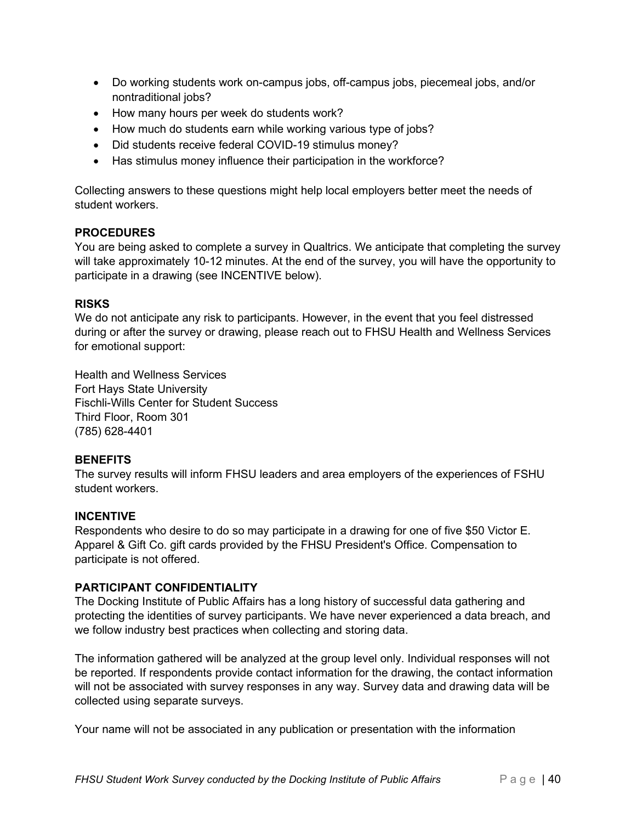- Do working students work on-campus jobs, off-campus jobs, piecemeal jobs, and/or nontraditional jobs?
- How many hours per week do students work?
- How much do students earn while working various type of jobs?
- Did students receive federal COVID-19 stimulus money?
- Has stimulus money influence their participation in the workforce?

Collecting answers to these questions might help local employers better meet the needs of student workers.

### **PROCEDURES**

You are being asked to complete a survey in Qualtrics. We anticipate that completing the survey will take approximately 10-12 minutes. At the end of the survey, you will have the opportunity to participate in a drawing (see INCENTIVE below).

### **RISKS**

We do not anticipate any risk to participants. However, in the event that you feel distressed during or after the survey or drawing, please reach out to FHSU Health and Wellness Services for emotional support:

Health and Wellness Services Fort Hays State University Fischli-Wills Center for Student Success Third Floor, Room 301 (785) 628-4401

### **BENEFITS**

The survey results will inform FHSU leaders and area employers of the experiences of FSHU student workers.

### **INCENTIVE**

Respondents who desire to do so may participate in a drawing for one of five \$50 Victor E. Apparel & Gift Co. gift cards provided by the FHSU President's Office. Compensation to participate is not offered.

#### **PARTICIPANT CONFIDENTIALITY**

The Docking Institute of Public Affairs has a long history of successful data gathering and protecting the identities of survey participants. We have never experienced a data breach, and we follow industry best practices when collecting and storing data.

The information gathered will be analyzed at the group level only. Individual responses will not be reported. If respondents provide contact information for the drawing, the contact information will not be associated with survey responses in any way. Survey data and drawing data will be collected using separate surveys.

Your name will not be associated in any publication or presentation with the information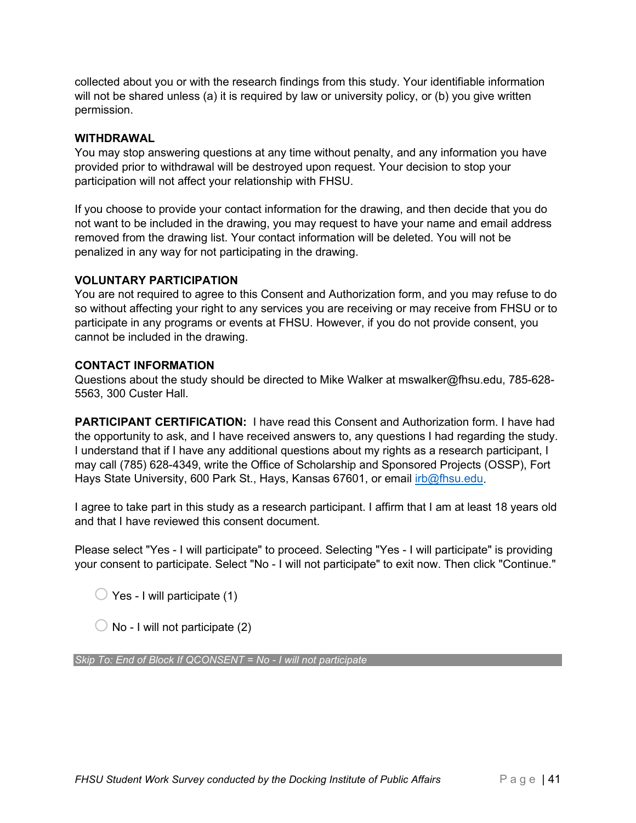collected about you or with the research findings from this study. Your identifiable information will not be shared unless (a) it is required by law or university policy, or (b) you give written permission.

### **WITHDRAWAL**

You may stop answering questions at any time without penalty, and any information you have provided prior to withdrawal will be destroyed upon request. Your decision to stop your participation will not affect your relationship with FHSU.

If you choose to provide your contact information for the drawing, and then decide that you do not want to be included in the drawing, you may request to have your name and email address removed from the drawing list. Your contact information will be deleted. You will not be penalized in any way for not participating in the drawing.

### **VOLUNTARY PARTICIPATION**

You are not required to agree to this Consent and Authorization form, and you may refuse to do so without affecting your right to any services you are receiving or may receive from FHSU or to participate in any programs or events at FHSU. However, if you do not provide consent, you cannot be included in the drawing.

### **CONTACT INFORMATION**

Questions about the study should be directed to Mike Walker at mswalker@fhsu.edu, 785-628- 5563, 300 Custer Hall.

**PARTICIPANT CERTIFICATION:** I have read this Consent and Authorization form. I have had the opportunity to ask, and I have received answers to, any questions I had regarding the study. I understand that if I have any additional questions about my rights as a research participant, I may call (785) 628-4349, write the Office of Scholarship and Sponsored Projects (OSSP), Fort Hays State University, 600 Park St., Hays, Kansas 67601, or email [irb@fhsu.edu.](mailto:irb@fhsu.edu)

I agree to take part in this study as a research participant. I affirm that I am at least 18 years old and that I have reviewed this consent document.

Please select "Yes - I will participate" to proceed. Selecting "Yes - I will participate" is providing your consent to participate. Select "No - I will not participate" to exit now. Then click "Continue."

 $\bigcirc$  Yes - I will participate (1)

 $\bigcirc$  No - I will not participate (2)

*Skip To: End of Block If QCONSENT = No - I will not participate*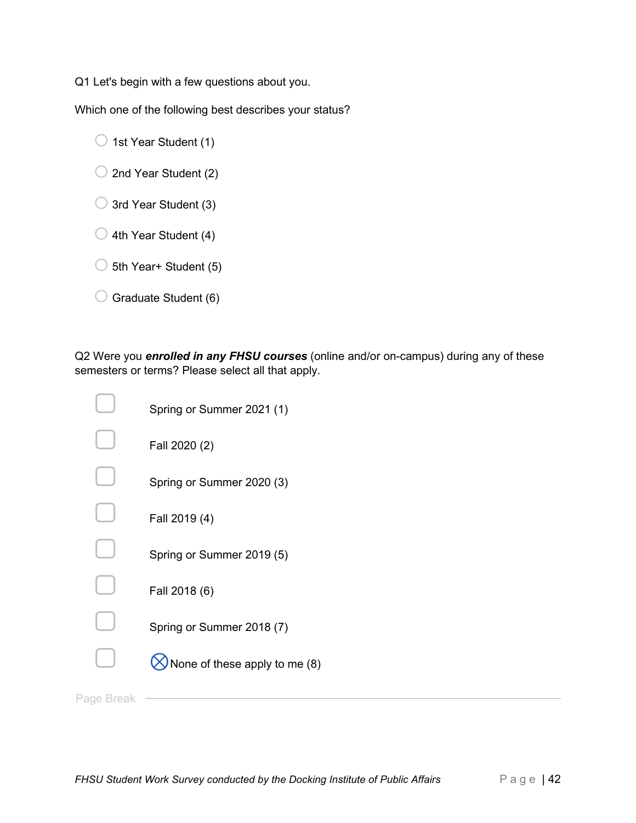Q1 Let's begin with a few questions about you.

Which one of the following best describes your status?

- $\bigcirc$  1st Year Student (1)
- $\bigcirc$  2nd Year Student (2)
- $\bigcirc$  3rd Year Student (3)
- $\bigcirc$  4th Year Student (4)
- $\bigcirc$  5th Year+ Student (5)
- $\bigcirc$  Graduate Student (6)

Q2 Were you *enrolled in any FHSU courses* (online and/or on-campus) during any of these semesters or terms? Please select all that apply.

|            | Spring or Summer 2021 (1)     |
|------------|-------------------------------|
|            | Fall 2020 (2)                 |
|            | Spring or Summer 2020 (3)     |
|            | Fall 2019 (4)                 |
|            | Spring or Summer 2019 (5)     |
|            | Fall 2018 (6)                 |
|            | Spring or Summer 2018 (7)     |
|            | None of these apply to me (8) |
| Page Break |                               |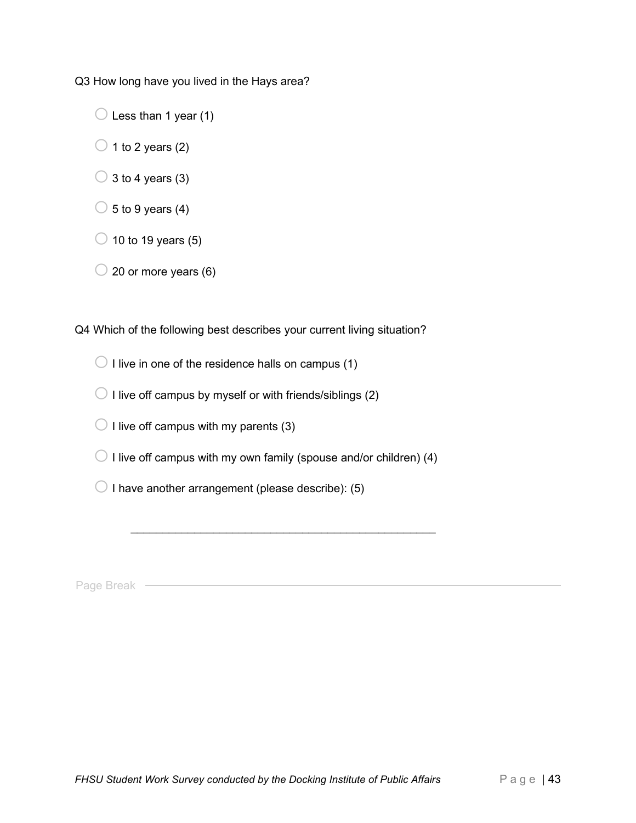Q3 How long have you lived in the Hays area?

 $\bigcirc$  Less than 1 year (1)

 $\bigcirc$  1 to 2 years (2)

 $\bigcirc$  3 to 4 years (3)

 $\circ$  5 to 9 years (4)

 $\bigcirc$  10 to 19 years (5)

 $\bigcirc$  20 or more years (6)

Q4 Which of the following best describes your current living situation?

 $\bigcirc$  I live in one of the residence halls on campus (1)

 $\bigcirc$  I live off campus by myself or with friends/siblings (2)

 $\bigcirc$  I live off campus with my parents (3)

 $\bigcirc$  I live off campus with my own family (spouse and/or children) (4)

 $\mathcal{L}_\text{max}$  , and the set of the set of the set of the set of the set of the set of the set of the set of the set of

 $\bigcirc$  I have another arrangement (please describe): (5)

Page Break —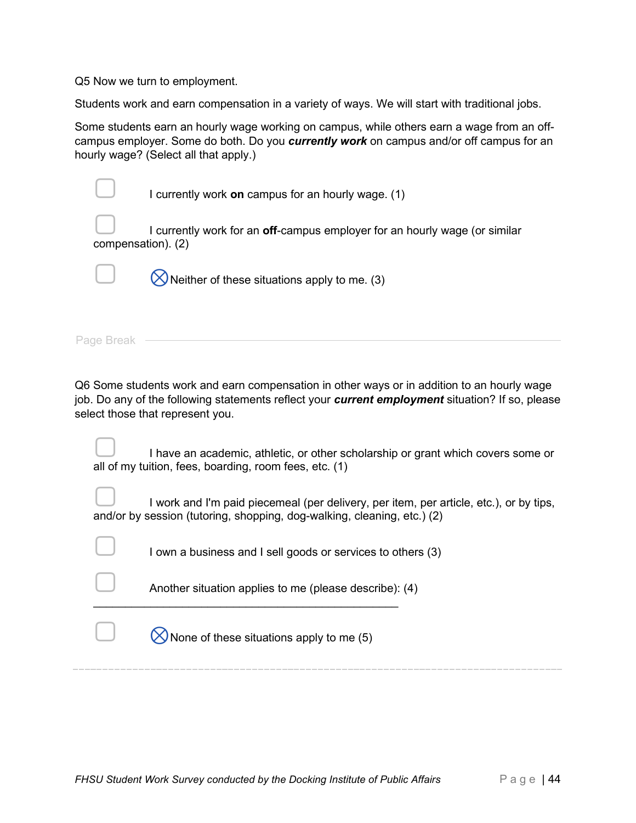Q5 Now we turn to employment.

Students work and earn compensation in a variety of ways. We will start with traditional jobs.

Some students earn an hourly wage working on campus, while others earn a wage from an offcampus employer. Some do both. Do you *currently work* on campus and/or off campus for an hourly wage? (Select all that apply.)

|                    | I currently work on campus for an hourly wage. (1)                         |
|--------------------|----------------------------------------------------------------------------|
| compensation). (2) | I currently work for an off-campus employer for an hourly wage (or similar |
|                    | $\bigotimes$ Neither of these situations apply to me. (3)                  |
| Page Break         |                                                                            |

Q6 Some students work and earn compensation in other ways or in addition to an hourly wage job. Do any of the following statements reflect your *current employment* situation? If so, please select those that represent you.

| $\overline{\phantom{0}}$ | I have an academic, athletic, or other scholarship or grant which covers some or |
|--------------------------|----------------------------------------------------------------------------------|
|                          | all of my tuition, fees, boarding, room fees, etc. (1)                           |

I work and I'm paid piecemeal (per delivery, per item, per article, etc.), or by tips, and/or by session (tutoring, shopping, dog-walking, cleaning, etc.) (2)

I own a business and I sell goods or services to others (3)

Another situation applies to me (please describe): (4)

 $\Box$   $\bigotimes$  None of these situations apply to me (5)

 $\mathcal{L}_\text{max}$  , and the set of the set of the set of the set of the set of the set of the set of the set of the set of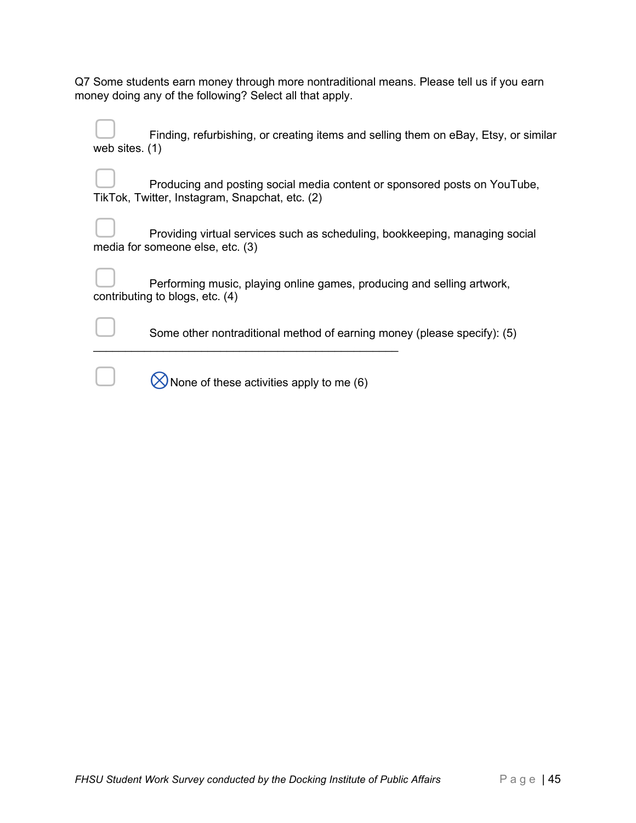| Q7 Some students earn money through more nontraditional means. Please tell us if you earn |  |
|-------------------------------------------------------------------------------------------|--|
| money doing any of the following? Select all that apply.                                  |  |

|                | Finding, refurbishing, or creating items and selling them on eBay, Etsy, or similar |  |  |  |
|----------------|-------------------------------------------------------------------------------------|--|--|--|
| web sites. (1) |                                                                                     |  |  |  |

Producing and posting social media content or sponsored posts on YouTube, TikTok, Twitter, Instagram, Snapchat, etc. (2)

| $\overline{\phantom{0}}$ | Providing virtual services such as scheduling, bookkeeping, managing social |  |  |
|--------------------------|-----------------------------------------------------------------------------|--|--|
|                          | media for someone else, etc. (3)                                            |  |  |

| $\overline{\phantom{0}}$ | Performing music, playing online games, producing and selling artwork, |
|--------------------------|------------------------------------------------------------------------|
|                          |                                                                        |
|                          | contributing to blogs, etc. (4)                                        |

 $\Box$  Some other nontraditional method of earning money (please specify): (5)

 $\bigotimes$  None of these activities apply to me (6)

 $\frac{1}{2}$  , and the set of the set of the set of the set of the set of the set of the set of the set of the set of the set of the set of the set of the set of the set of the set of the set of the set of the set of the set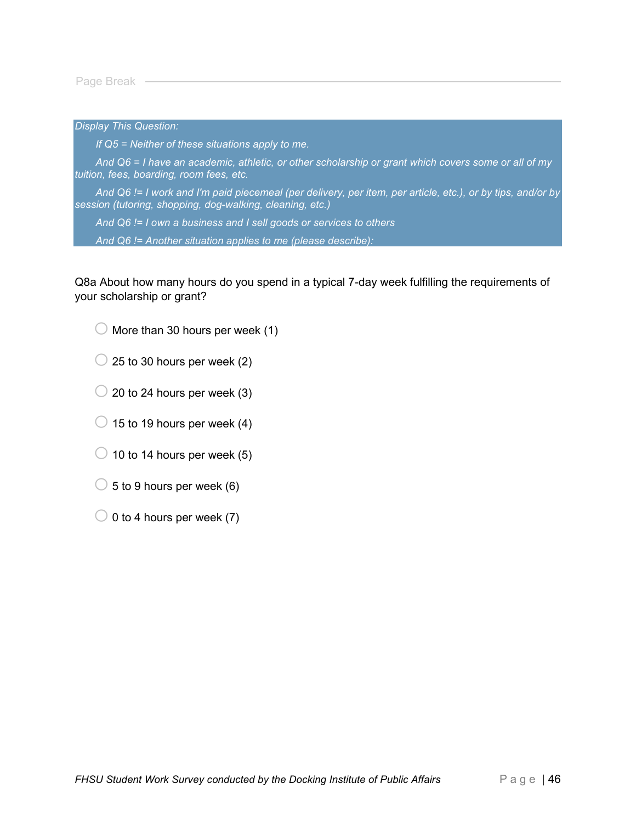Page Break -

*Display This Question:*

*If Q5 = Neither of these situations apply to me.*

*And Q6 = I have an academic, athletic, or other scholarship or grant which covers some or all of my tuition, fees, boarding, room fees, etc.*

*And Q6 != I work and I'm paid piecemeal (per delivery, per item, per article, etc.), or by tips, and/or by session (tutoring, shopping, dog-walking, cleaning, etc.)*

*And Q6 != I own a business and I sell goods or services to others*

*And Q6 != Another situation applies to me (please describe):*

Q8a About how many hours do you spend in a typical 7-day week fulfilling the requirements of your scholarship or grant?

 $\bigcirc$  More than 30 hours per week (1)

- $\bigcirc$  25 to 30 hours per week (2)
- $\bigcirc$  20 to 24 hours per week (3)
- $\bigcirc$  15 to 19 hours per week (4)
- $\bigcirc$  10 to 14 hours per week (5)
- $\bigcirc$  5 to 9 hours per week (6)
- $\bigcirc$  0 to 4 hours per week (7)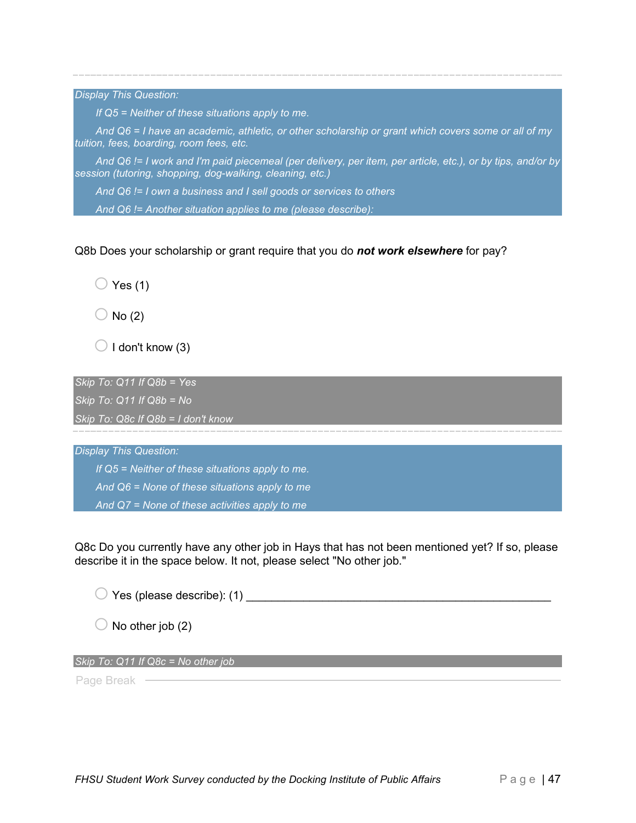*Display This Question:*

*If Q5 = Neither of these situations apply to me.*

*And Q6 = I have an academic, athletic, or other scholarship or grant which covers some or all of my tuition, fees, boarding, room fees, etc.*

*And Q6 != I work and I'm paid piecemeal (per delivery, per item, per article, etc.), or by tips, and/or by session (tutoring, shopping, dog-walking, cleaning, etc.)*

*And Q6 != I own a business and I sell goods or services to others*

*And Q6 != Another situation applies to me (please describe):*

Q8b Does your scholarship or grant require that you do *not work elsewhere* for pay?

 $\bigcirc$  Yes (1)

 $\bigcirc$  No (2)

 $\bigcirc$  I don't know (3)

*Skip To: Q11 If Q8b = Yes*

*Skip To: Q11 If Q8b = No*

*Skip To: Q8c If Q8b = I don't know*

*Display This Question:*

*If Q5 = Neither of these situations apply to me. And Q6 = None of these situations apply to me*

*And Q7 = None of these activities apply to me*

Q8c Do you currently have any other job in Hays that has not been mentioned yet? If so, please describe it in the space below. It not, please select "No other job."

 $\bigcirc$  Yes (please describe): (1)  $\bigcirc$ 

 $\bigcirc$  No other job (2)

*Skip To: Q11 If Q8c = No other job*

Page Break -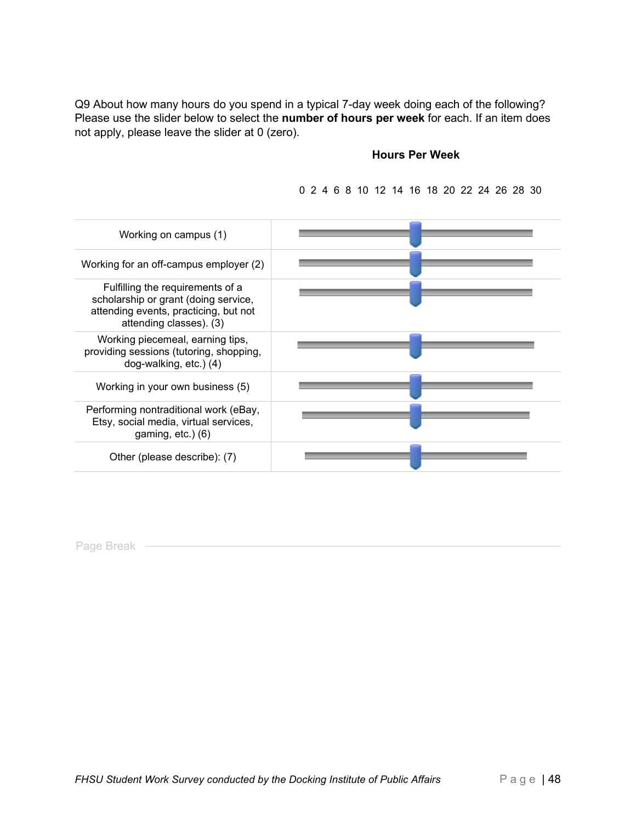Q9 About how many hours do you spend in a typical 7-day week doing each of the following? Please use the slider below to select the **number of hours per week** for each. If an item does not apply, please leave the slider at 0 (zero).

#### **Hours Per Week**

Working on campus (1) Working for an off-campus employer (2) Fulfilling the requirements of a scholarship or grant (doing service, attending events, practicing, but not attending classes). (3) Working piecemeal, earning tips, providing sessions (tutoring, shopping, dog-walking, etc.) (4) Working in your own business (5) Performing nontraditional work (eBay, Etsy, social media, virtual services, gaming, etc.) (6) Other (please describe): (7)

0 2 4 6 8 10 12 14 16 18 20 22 24 26 28 30

Page Break -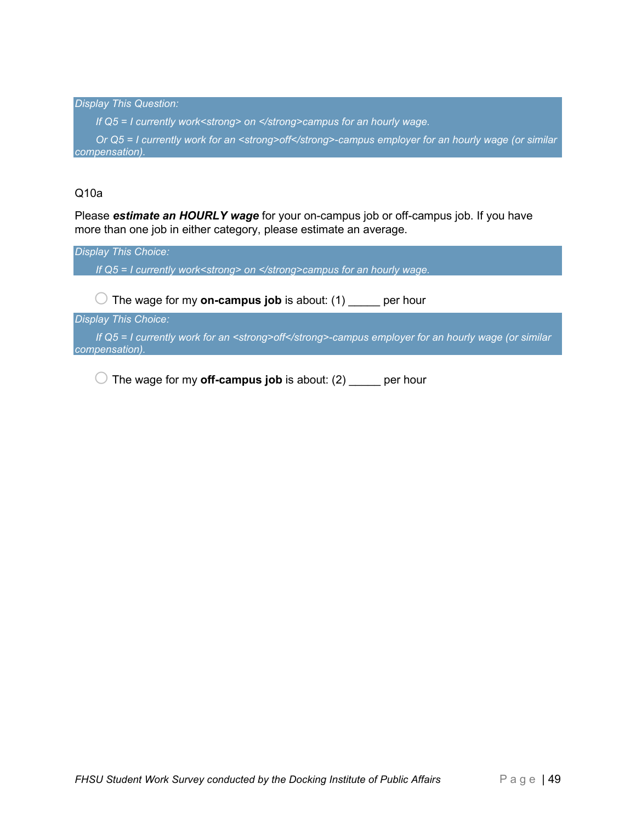*Display This Question: If Q5 = I currently work<strong> on </strong>campus for an hourly wage. Or Q5 = I currently work for an <strong>off</strong>-campus employer for an hourly wage (or similar compensation).*

### Q10a

Please *estimate an HOURLY wage* for your on-campus job or off-campus job. If you have more than one job in either category, please estimate an average.

*Display This Choice: If Q5 = I currently work<strong> on </strong>campus for an hourly wage.*  $\bigcirc$  The wage for my **on-campus job** is about: (1) \_\_\_\_\_ per hour

*Display This Choice:*

*If Q5 = I currently work for an <strong>off</strong>-campus employer for an hourly wage (or similar compensation).*

 $\bigcirc$  The wage for my **off-campus job** is about: (2)  $\qquad$  per hour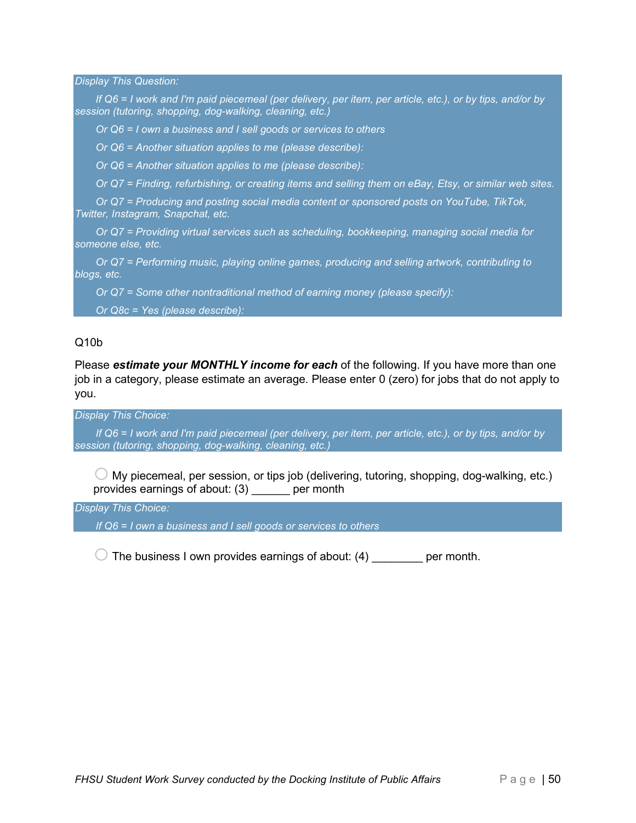*Display This Question:*

*If Q6 = I work and I'm paid piecemeal (per delivery, per item, per article, etc.), or by tips, and/or by session (tutoring, shopping, dog-walking, cleaning, etc.)*

*Or Q6 = I own a business and I sell goods or services to others*

*Or Q6 = Another situation applies to me (please describe):*

*Or Q6 = Another situation applies to me (please describe):*

*Or Q7 = Finding, refurbishing, or creating items and selling them on eBay, Etsy, or similar web sites.*

*Or Q7 = Producing and posting social media content or sponsored posts on YouTube, TikTok, Twitter, Instagram, Snapchat, etc.*

*Or Q7 = Providing virtual services such as scheduling, bookkeeping, managing social media for someone else, etc.*

*Or Q7 = Performing music, playing online games, producing and selling artwork, contributing to blogs, etc.*

*Or Q7 = Some other nontraditional method of earning money (please specify):*

*Or Q8c = Yes (please describe):*

#### Q10b

Please *estimate your MONTHLY income for each* of the following. If you have more than one job in a category, please estimate an average. Please enter 0 (zero) for jobs that do not apply to you.

*Display This Choice:*

*If Q6 = I work and I'm paid piecemeal (per delivery, per item, per article, etc.), or by tips, and/or by session (tutoring, shopping, dog-walking, cleaning, etc.)*

 $\bigcirc$  My piecemeal, per session, or tips job (delivering, tutoring, shopping, dog-walking, etc.) provides earnings of about: (3) \_\_\_\_\_\_ per month

*Display This Choice:*

*If Q6 = I own a business and I sell goods or services to others*

 $\bigcirc$  The business I own provides earnings of about: (4)  $\qquad \qquad$  per month.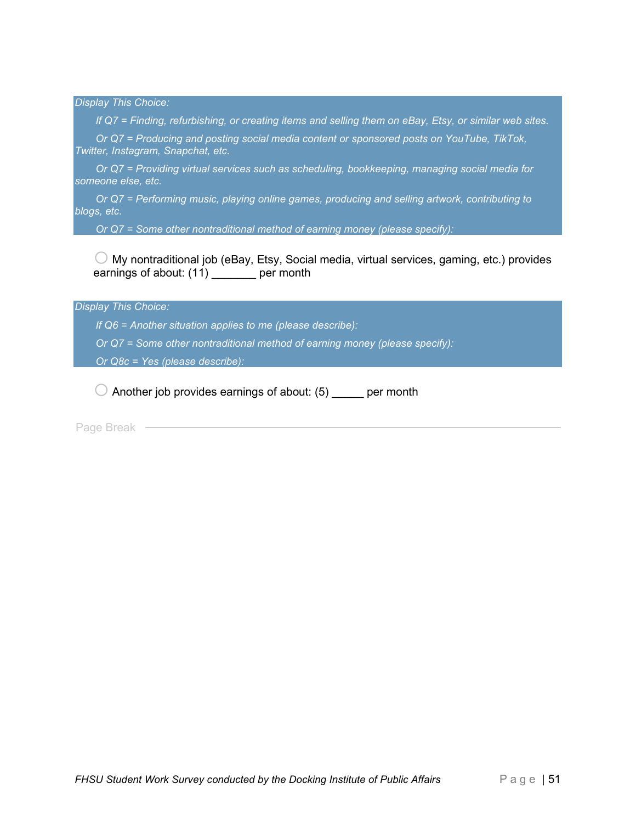*Display This Choice:*

*If Q7 = Finding, refurbishing, or creating items and selling them on eBay, Etsy, or similar web sites.*

*Or Q7 = Producing and posting social media content or sponsored posts on YouTube, TikTok, Twitter, Instagram, Snapchat, etc.*

*Or Q7 = Providing virtual services such as scheduling, bookkeeping, managing social media for someone else, etc.*

*Or Q7 = Performing music, playing online games, producing and selling artwork, contributing to blogs, etc.*

*Or Q7 = Some other nontraditional method of earning money (please specify):*

 $\bigcirc$  My nontraditional job (eBay, Etsy, Social media, virtual services, gaming, etc.) provides earnings of about: (11) eer month

*Display This Choice:*

*If Q6 = Another situation applies to me (please describe):*

*Or Q7 = Some other nontraditional method of earning money (please specify):*

*Or Q8c = Yes (please describe):*

 $\bigcirc$  Another job provides earnings of about: (5) er month

Page Break -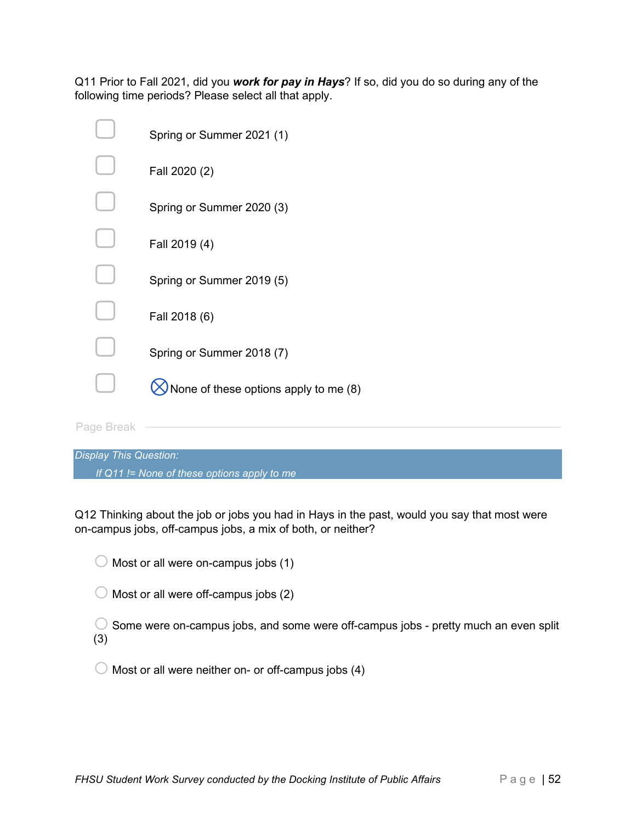Q11 Prior to Fall 2021, did you *work for pay in Hays*? If so, did you do so during any of the following time periods? Please select all that apply.

|            | Spring or Summer 2021 (1)             |
|------------|---------------------------------------|
|            | Fall 2020 (2)                         |
|            | Spring or Summer 2020 (3)             |
|            | Fall 2019 (4)                         |
|            | Spring or Summer 2019 (5)             |
|            | Fall 2018 (6)                         |
|            | Spring or Summer 2018 (7)             |
|            | None of these options apply to me (8) |
| Page Break |                                       |

| <b>Display This Question:</b>                 |  |
|-----------------------------------------------|--|
| If $Q11$ != None of these options apply to me |  |

Q12 Thinking about the job or jobs you had in Hays in the past, would you say that most were on-campus jobs, off-campus jobs, a mix of both, or neither?

 $\bigcirc$  Most or all were on-campus jobs (1)

 $\bigcirc$  Most or all were off-campus jobs (2)

 $\bigcirc$  Some were on-campus jobs, and some were off-campus jobs - pretty much an even split (3)

 $\bigcirc$  Most or all were neither on- or off-campus jobs (4)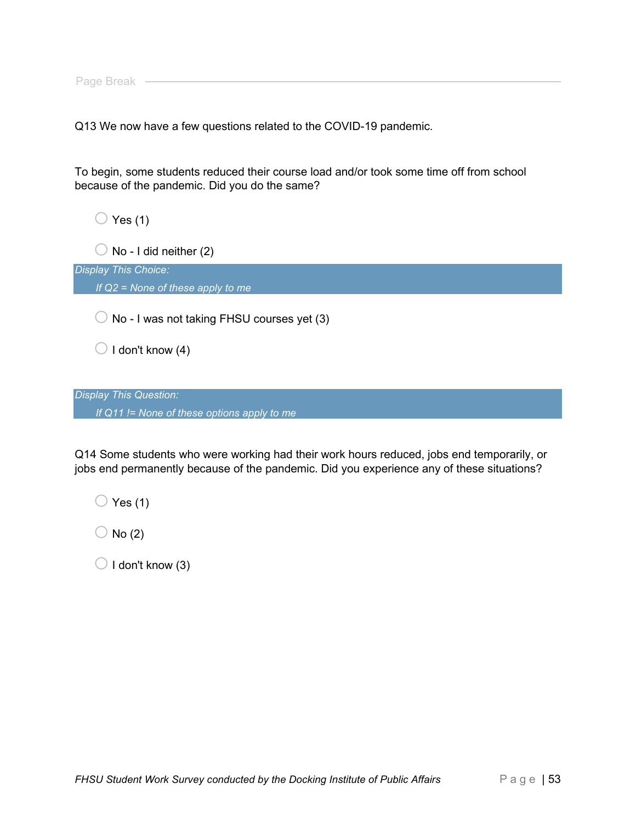Q13 We now have a few questions related to the COVID-19 pandemic.

To begin, some students reduced their course load and/or took some time off from school because of the pandemic. Did you do the same?

 $\bigcirc$  Yes (1)

 $\bigcirc$  No - I did neither (2)

*Display This Choice: If Q2 = None of these apply to me*

 $\bigcirc$  No - I was not taking FHSU courses yet (3)

 $\bigcirc$  I don't know (4)

*Display This Question: If Q11 != None of these options apply to me*

Q14 Some students who were working had their work hours reduced, jobs end temporarily, or jobs end permanently because of the pandemic. Did you experience any of these situations?

 $\bigcirc$  Yes (1)

 $\bigcirc$  No (2)

 $\bigcirc$  I don't know (3)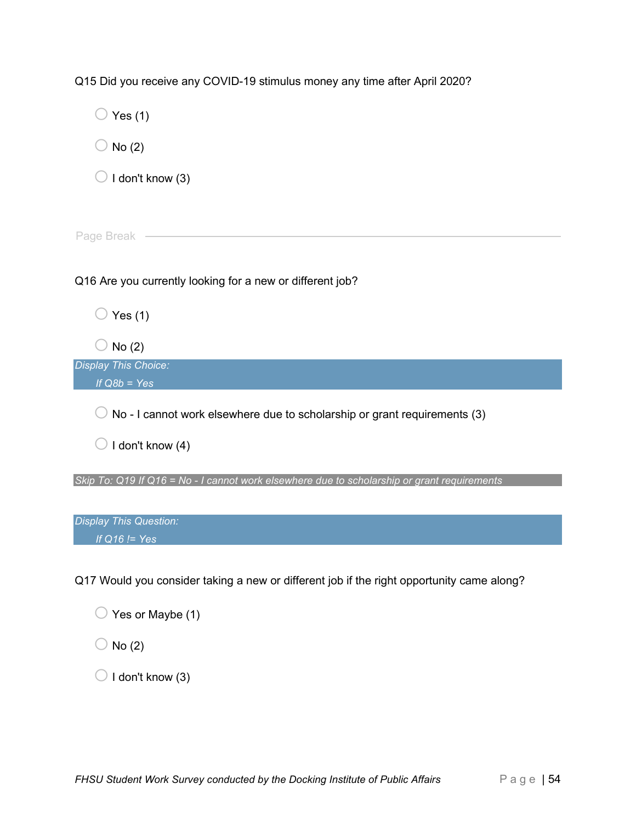Q15 Did you receive any COVID-19 stimulus money any time after April 2020?

| Yes $(1)$                                                                                   |
|---------------------------------------------------------------------------------------------|
| No(2)                                                                                       |
| I don't know (3)                                                                            |
|                                                                                             |
| Page Break                                                                                  |
| Q16 Are you currently looking for a new or different job?                                   |
| Yes $(1)$                                                                                   |
| No(2)                                                                                       |
| <b>Display This Choice:</b><br>If $Q8b = Yes$                                               |
| No - I cannot work elsewhere due to scholarship or grant requirements (3)                   |
| I don't know (4)                                                                            |
| Skip To: Q19 If Q16 = No - I cannot work elsewhere due to scholarship or grant requirements |
| <b>Display This Question:</b>                                                               |
| If $Q16$ != Yes                                                                             |

Q17 Would you consider taking a new or different job if the right opportunity came along?

| $\bigcirc$ Yes or Maybe (1) |  |
|-----------------------------|--|
|-----------------------------|--|

 $\bigcirc$  No (2)

 $\bigcirc$  I don't know (3)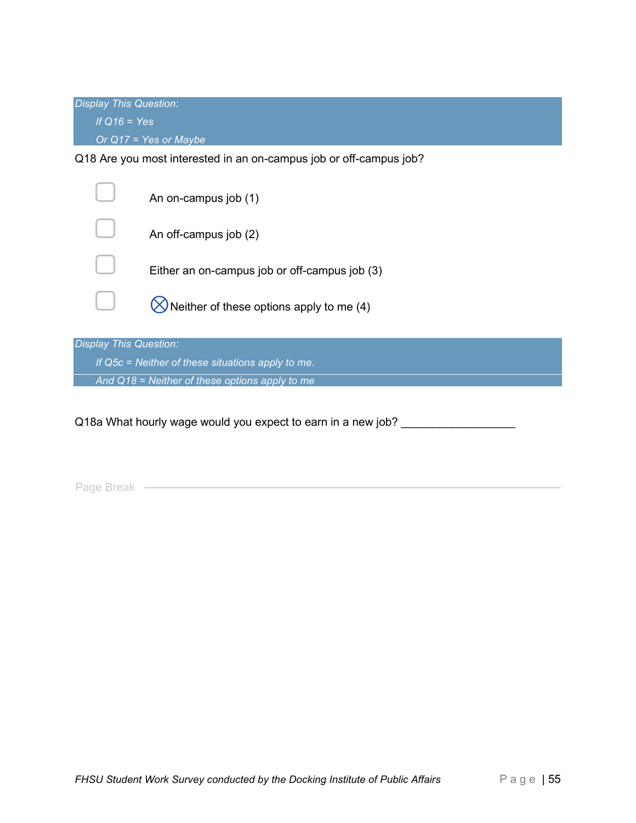*Display This Question: If Q16 = Yes Or Q17 = Yes or Maybe*

Q18 Are you most interested in an on-campus job or off-campus job?

|                                                   | An on-campus job (1)                          |  |  |  |
|---------------------------------------------------|-----------------------------------------------|--|--|--|
|                                                   | An off-campus job (2)                         |  |  |  |
|                                                   | Either an on-campus job or off-campus job (3) |  |  |  |
|                                                   | Neither of these options apply to me (4)      |  |  |  |
|                                                   |                                               |  |  |  |
| <b>Display This Question:</b>                     |                                               |  |  |  |
| If Q5c = Neither of these situations apply to me. |                                               |  |  |  |

*And Q18 = Neither of these options apply to me*

Q18a What hourly wage would you expect to earn in a new job? \_\_\_\_\_\_\_\_\_\_\_\_\_\_\_\_\_\_\_

Page Break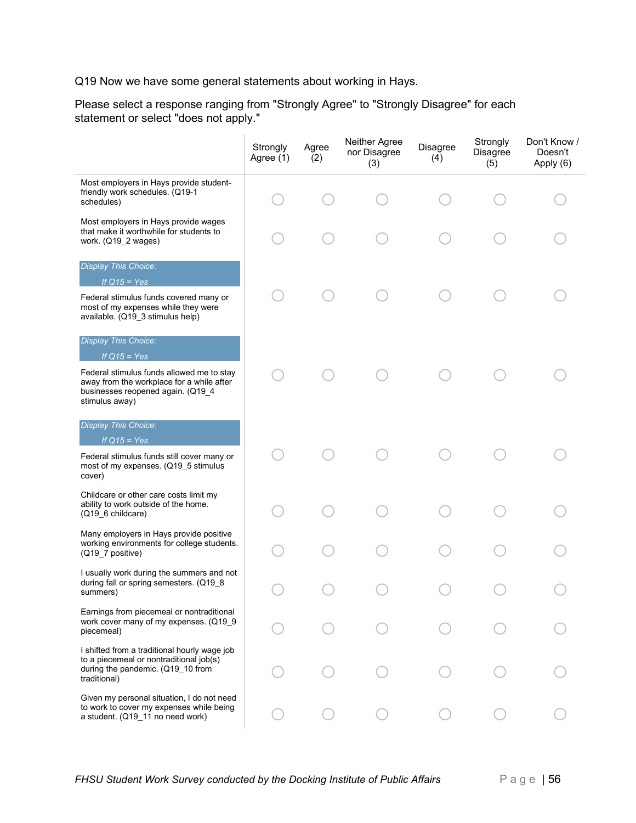Q19 Now we have some general statements about working in Hays.

Please select a response ranging from "Strongly Agree" to "Strongly Disagree" for each statement or select "does not apply."

|                                                                                                                                               | Strongly<br>Agree (1) | Agree<br>(2) | Neither Agree<br>nor Disagree<br>(3) | Disagree<br>(4) | Strongly<br>Disagree<br>(5) | Don't Know /<br>Doesn't<br>Apply (6) |
|-----------------------------------------------------------------------------------------------------------------------------------------------|-----------------------|--------------|--------------------------------------|-----------------|-----------------------------|--------------------------------------|
| Most employers in Hays provide student-<br>friendly work schedules. (Q19-1<br>schedules)                                                      |                       |              |                                      |                 |                             |                                      |
| Most employers in Hays provide wages<br>that make it worthwhile for students to<br>work. (Q19_2 wages)                                        |                       |              |                                      |                 |                             |                                      |
| <b>Display This Choice:</b><br>If $Q15 = Yes$                                                                                                 |                       |              |                                      |                 |                             |                                      |
| Federal stimulus funds covered many or<br>most of my expenses while they were<br>available. (Q19_3 stimulus help)                             |                       |              |                                      |                 |                             |                                      |
| <b>Display This Choice:</b><br>If $Q15 = Yes$                                                                                                 |                       |              |                                      |                 |                             |                                      |
| Federal stimulus funds allowed me to stay<br>away from the workplace for a while after<br>businesses reopened again. (Q19_4<br>stimulus away) |                       |              |                                      |                 |                             |                                      |
| <b>Display This Choice:</b><br>If $Q15 = Yes$                                                                                                 |                       |              |                                      |                 |                             |                                      |
| Federal stimulus funds still cover many or<br>most of my expenses. (Q19_5 stimulus<br>cover)                                                  |                       |              |                                      |                 |                             |                                      |
| Childcare or other care costs limit my<br>ability to work outside of the home.<br>(Q19_6 childcare)                                           |                       |              |                                      |                 |                             |                                      |
| Many employers in Hays provide positive<br>working environments for college students.<br>(Q19_7 positive)                                     |                       |              |                                      |                 |                             |                                      |
| I usually work during the summers and not<br>during fall or spring semesters. (Q19_8<br>summers)                                              |                       |              |                                      |                 |                             |                                      |
| Earnings from piecemeal or nontraditional<br>work cover many of my expenses. (Q19_9<br>piecemeal)                                             |                       |              |                                      |                 |                             |                                      |
| I shifted from a traditional hourly wage job<br>to a piecemeal or nontraditional job(s)<br>during the pandemic. (Q19_10 from<br>traditional)  |                       |              |                                      |                 |                             |                                      |
| Given my personal situation, I do not need<br>to work to cover my expenses while being<br>a student. (Q19_11 no need work)                    |                       |              |                                      |                 |                             |                                      |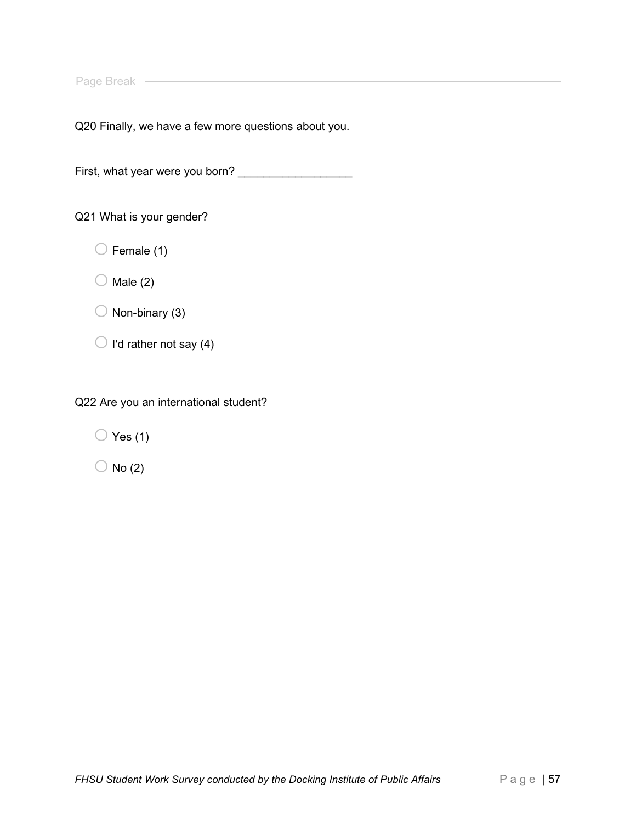Page Break ––––––––

Q20 Finally, we have a few more questions about you.

First, what year were you born? \_\_\_\_\_\_\_\_\_\_\_\_\_\_\_\_\_\_

Q21 What is your gender?

 $\bigcirc$  Female (1)

 $\bigcirc$  Male (2)

 $\bigcirc$  Non-binary (3)

 $\bigcirc$  I'd rather not say (4)

Q22 Are you an international student?

 $\bigcirc$  Yes (1)

 $\bigcirc$  No (2)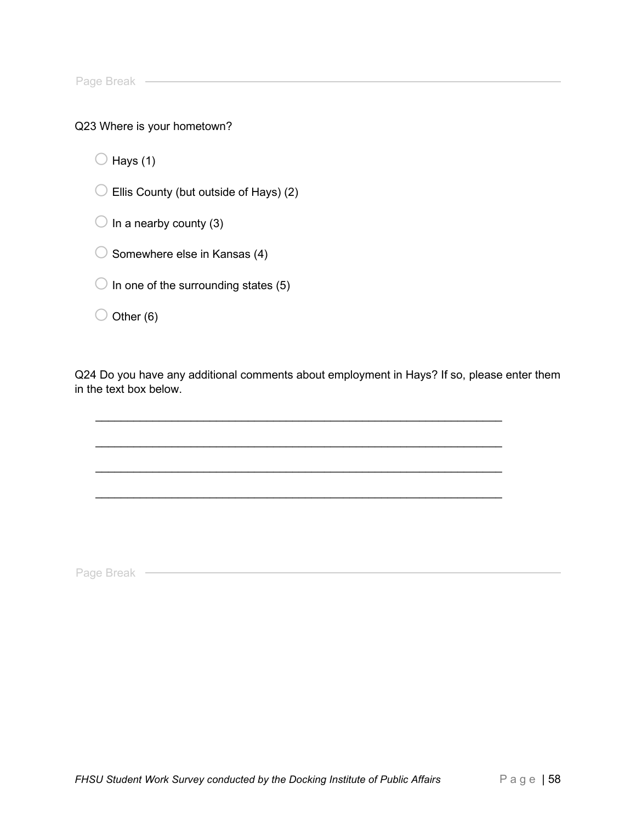Page Break

#### Q23 Where is your hometown?

 $\bigcirc$  Hays (1)

 $\bigcirc$  Ellis County (but outside of Hays) (2)

 $\bigcirc$  In a nearby county (3)

 $\bigcirc$  Somewhere else in Kansas (4)

 $\bigcirc$  In one of the surrounding states (5)

 $\bigcirc$  Other (6)

Q24 Do you have any additional comments about employment in Hays? If so, please enter them in the text box below.

 $\_$  , and the set of the set of the set of the set of the set of the set of the set of the set of the set of the set of the set of the set of the set of the set of the set of the set of the set of the set of the set of th

 $\_$  , and the set of the set of the set of the set of the set of the set of the set of the set of the set of the set of the set of the set of the set of the set of the set of the set of the set of the set of the set of th

 $\_$  , and the set of the set of the set of the set of the set of the set of the set of the set of the set of the set of the set of the set of the set of the set of the set of the set of the set of the set of the set of th

Page Break ——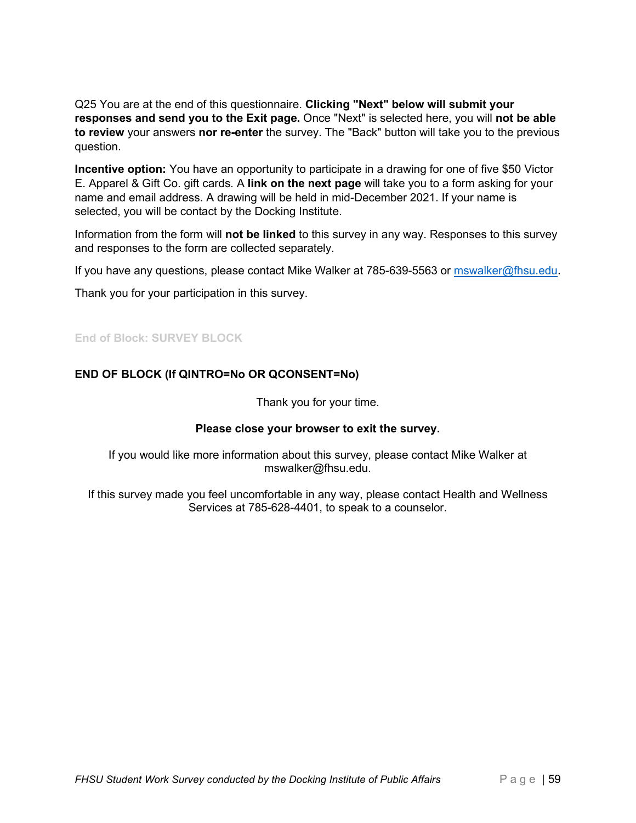Q25 You are at the end of this questionnaire. **Clicking "Next" below will submit your responses and send you to the Exit page.** Once "Next" is selected here, you will **not be able to review** your answers **nor re-enter** the survey. The "Back" button will take you to the previous question.

**Incentive option:** You have an opportunity to participate in a drawing for one of five \$50 Victor E. Apparel & Gift Co. gift cards. A **link on the next page** will take you to a form asking for your name and email address. A drawing will be held in mid-December 2021. If your name is selected, you will be contact by the Docking Institute.

Information from the form will **not be linked** to this survey in any way. Responses to this survey and responses to the form are collected separately.

If you have any questions, please contact Mike Walker at 785-639-5563 or [mswalker@fhsu.edu.](mailto:mswalker@fhsu.edu)

Thank you for your participation in this survey.

### **End of Block: SURVEY BLOCK**

### **END OF BLOCK (If QINTRO=No OR QCONSENT=No)**

Thank you for your time.

#### **Please close your browser to exit the survey.**

If you would like more information about this survey, please contact Mike Walker at mswalker@fhsu.edu.

If this survey made you feel uncomfortable in any way, please contact Health and Wellness Services at 785-628-4401, to speak to a counselor.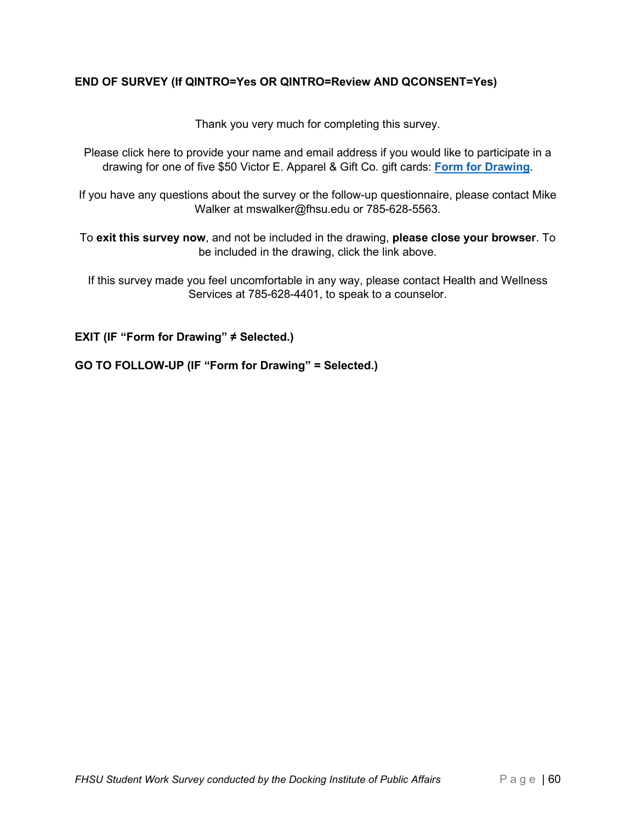### **END OF SURVEY (If QINTRO=Yes OR QINTRO=Review AND QCONSENT=Yes)**

Thank you very much for completing this survey.

Please click here to provide your name and email address if you would like to participate in a drawing for one of five \$50 Victor E. Apparel & Gift Co. gift cards: **[Form for Drawing](http://docking.co1.qualtrics.com/jfe/form/SV_dnhr8hNL0u4xDz8)**.

If you have any questions about the survey or the follow-up questionnaire, please contact Mike Walker at mswalker@fhsu.edu or 785-628-5563.

To **exit this survey now**, and not be included in the drawing, **please close your browser**. To be included in the drawing, click the link above.

If this survey made you feel uncomfortable in any way, please contact Health and Wellness Services at 785-628-4401, to speak to a counselor.

**EXIT (IF "Form for Drawing" ≠ Selected.)** 

**GO TO FOLLOW-UP (IF "Form for Drawing" = Selected.)**